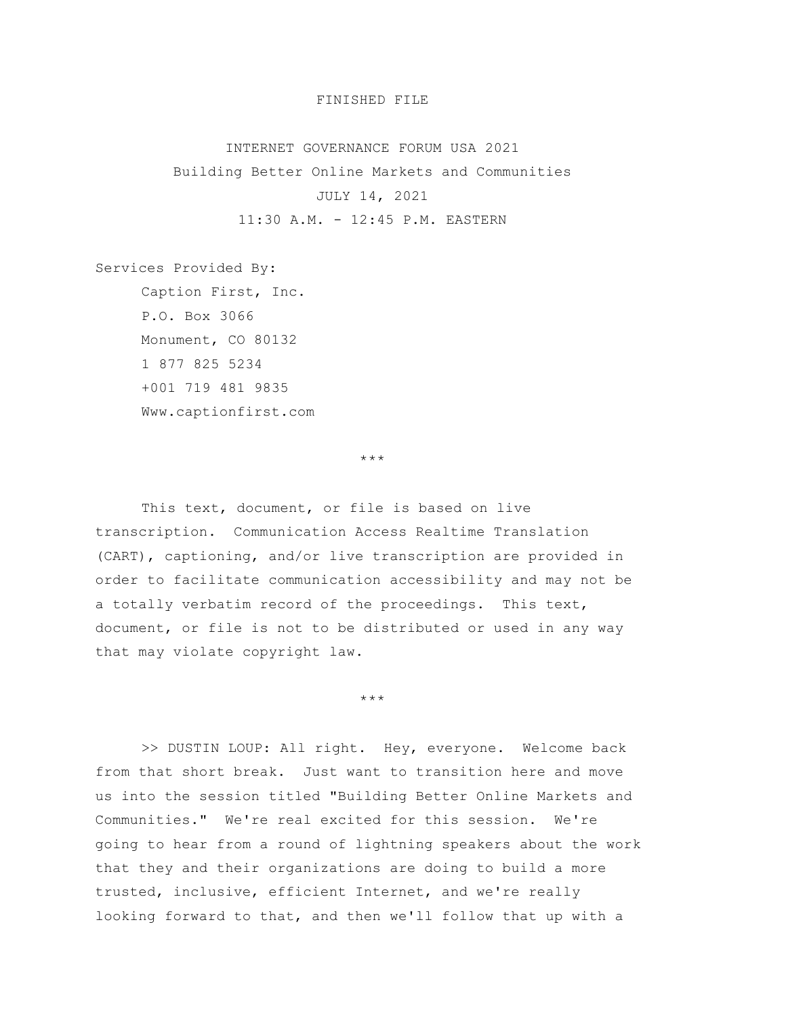## FINISHED FILE

INTERNET GOVERNANCE FORUM USA 2021 Building Better Online Markets and Communities JULY 14, 2021 11:30 A.M. - 12:45 P.M. EASTERN

Services Provided By: Caption First, Inc. P.O. Box 3066 Monument, CO 80132 1 877 825 5234 +001 719 481 9835 Www.captionfirst.com

\*\*\*

This text, document, or file is based on live transcription. Communication Access Realtime Translation (CART), captioning, and/or live transcription are provided in order to facilitate communication accessibility and may not be a totally verbatim record of the proceedings. This text, document, or file is not to be distributed or used in any way that may violate copyright law.

\*\*\*

>> DUSTIN LOUP: All right. Hey, everyone. Welcome back from that short break. Just want to transition here and move us into the session titled "Building Better Online Markets and Communities." We're real excited for this session. We're going to hear from a round of lightning speakers about the work that they and their organizations are doing to build a more trusted, inclusive, efficient Internet, and we're really looking forward to that, and then we'll follow that up with a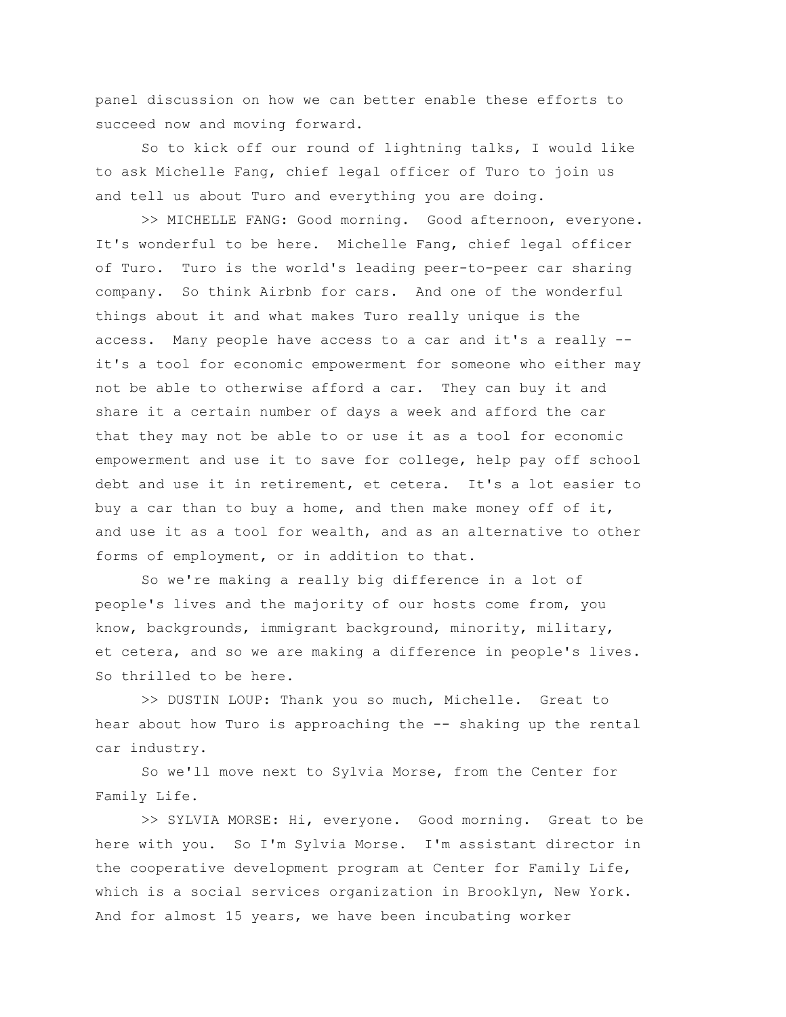panel discussion on how we can better enable these efforts to succeed now and moving forward.

So to kick off our round of lightning talks, I would like to ask Michelle Fang, chief legal officer of Turo to join us and tell us about Turo and everything you are doing.

>> MICHELLE FANG: Good morning. Good afternoon, everyone. It's wonderful to be here. Michelle Fang, chief legal officer of Turo. Turo is the world's leading peer-to-peer car sharing company. So think Airbnb for cars. And one of the wonderful things about it and what makes Turo really unique is the access. Many people have access to a car and it's a really - it's a tool for economic empowerment for someone who either may not be able to otherwise afford a car. They can buy it and share it a certain number of days a week and afford the car that they may not be able to or use it as a tool for economic empowerment and use it to save for college, help pay off school debt and use it in retirement, et cetera. It's a lot easier to buy a car than to buy a home, and then make money off of it, and use it as a tool for wealth, and as an alternative to other forms of employment, or in addition to that.

So we're making a really big difference in a lot of people's lives and the majority of our hosts come from, you know, backgrounds, immigrant background, minority, military, et cetera, and so we are making a difference in people's lives. So thrilled to be here.

>> DUSTIN LOUP: Thank you so much, Michelle. Great to hear about how Turo is approaching the -- shaking up the rental car industry.

So we'll move next to Sylvia Morse, from the Center for Family Life.

>> SYLVIA MORSE: Hi, everyone. Good morning. Great to be here with you. So I'm Sylvia Morse. I'm assistant director in the cooperative development program at Center for Family Life, which is a social services organization in Brooklyn, New York. And for almost 15 years, we have been incubating worker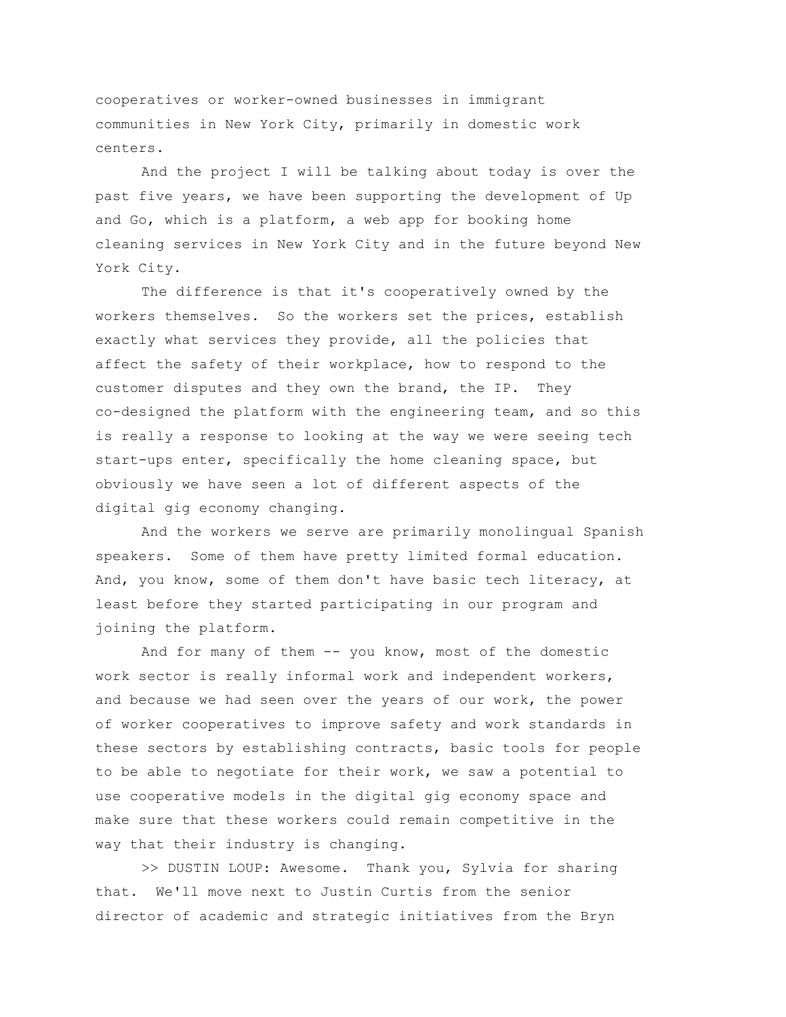cooperatives or worker-owned businesses in immigrant communities in New York City, primarily in domestic work centers.

And the project I will be talking about today is over the past five years, we have been supporting the development of Up and Go, which is a platform, a web app for booking home cleaning services in New York City and in the future beyond New York City.

The difference is that it's cooperatively owned by the workers themselves. So the workers set the prices, establish exactly what services they provide, all the policies that affect the safety of their workplace, how to respond to the customer disputes and they own the brand, the IP. They co-designed the platform with the engineering team, and so this is really a response to looking at the way we were seeing tech start-ups enter, specifically the home cleaning space, but obviously we have seen a lot of different aspects of the digital gig economy changing.

And the workers we serve are primarily monolingual Spanish speakers. Some of them have pretty limited formal education. And, you know, some of them don't have basic tech literacy, at least before they started participating in our program and joining the platform.

And for many of them -- you know, most of the domestic work sector is really informal work and independent workers, and because we had seen over the years of our work, the power of worker cooperatives to improve safety and work standards in these sectors by establishing contracts, basic tools for people to be able to negotiate for their work, we saw a potential to use cooperative models in the digital gig economy space and make sure that these workers could remain competitive in the way that their industry is changing.

>> DUSTIN LOUP: Awesome. Thank you, Sylvia for sharing that. We'll move next to Justin Curtis from the senior director of academic and strategic initiatives from the Bryn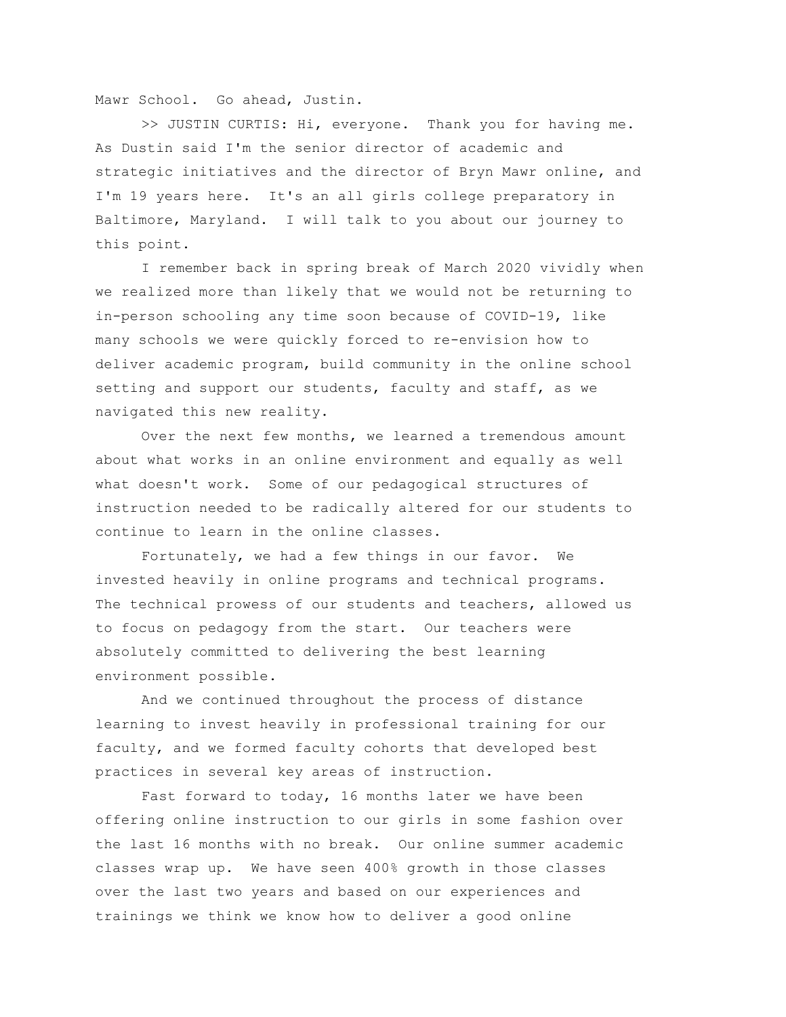Mawr School. Go ahead, Justin.

>> JUSTIN CURTIS: Hi, everyone. Thank you for having me. As Dustin said I'm the senior director of academic and strategic initiatives and the director of Bryn Mawr online, and I'm 19 years here. It's an all girls college preparatory in Baltimore, Maryland. I will talk to you about our journey to this point.

I remember back in spring break of March 2020 vividly when we realized more than likely that we would not be returning to in-person schooling any time soon because of COVID-19, like many schools we were quickly forced to re-envision how to deliver academic program, build community in the online school setting and support our students, faculty and staff, as we navigated this new reality.

Over the next few months, we learned a tremendous amount about what works in an online environment and equally as well what doesn't work. Some of our pedagogical structures of instruction needed to be radically altered for our students to continue to learn in the online classes.

Fortunately, we had a few things in our favor. We invested heavily in online programs and technical programs. The technical prowess of our students and teachers, allowed us to focus on pedagogy from the start. Our teachers were absolutely committed to delivering the best learning environment possible.

And we continued throughout the process of distance learning to invest heavily in professional training for our faculty, and we formed faculty cohorts that developed best practices in several key areas of instruction.

Fast forward to today, 16 months later we have been offering online instruction to our girls in some fashion over the last 16 months with no break. Our online summer academic classes wrap up. We have seen 400% growth in those classes over the last two years and based on our experiences and trainings we think we know how to deliver a good online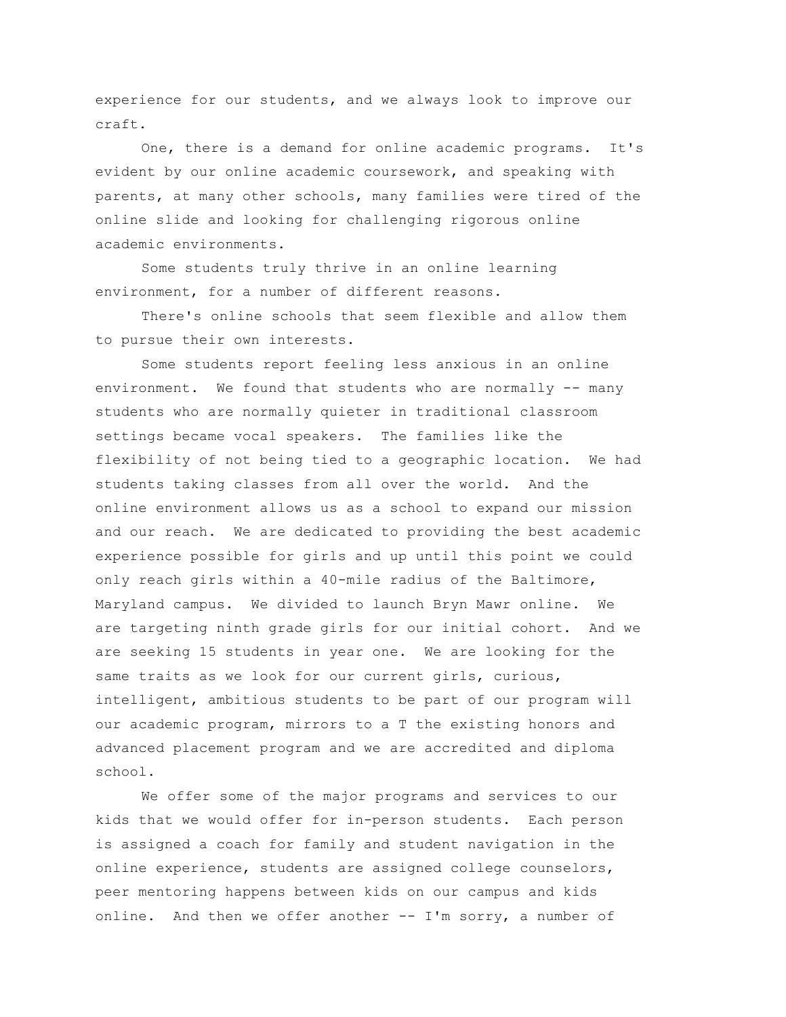experience for our students, and we always look to improve our craft.

One, there is a demand for online academic programs. It's evident by our online academic coursework, and speaking with parents, at many other schools, many families were tired of the online slide and looking for challenging rigorous online academic environments.

Some students truly thrive in an online learning environment, for a number of different reasons.

There's online schools that seem flexible and allow them to pursue their own interests.

Some students report feeling less anxious in an online environment. We found that students who are normally -- many students who are normally quieter in traditional classroom settings became vocal speakers. The families like the flexibility of not being tied to a geographic location. We had students taking classes from all over the world. And the online environment allows us as a school to expand our mission and our reach. We are dedicated to providing the best academic experience possible for girls and up until this point we could only reach girls within a 40-mile radius of the Baltimore, Maryland campus. We divided to launch Bryn Mawr online. We are targeting ninth grade girls for our initial cohort. And we are seeking 15 students in year one. We are looking for the same traits as we look for our current girls, curious, intelligent, ambitious students to be part of our program will our academic program, mirrors to a T the existing honors and advanced placement program and we are accredited and diploma school.

We offer some of the major programs and services to our kids that we would offer for in-person students. Each person is assigned a coach for family and student navigation in the online experience, students are assigned college counselors, peer mentoring happens between kids on our campus and kids online. And then we offer another -- I'm sorry, a number of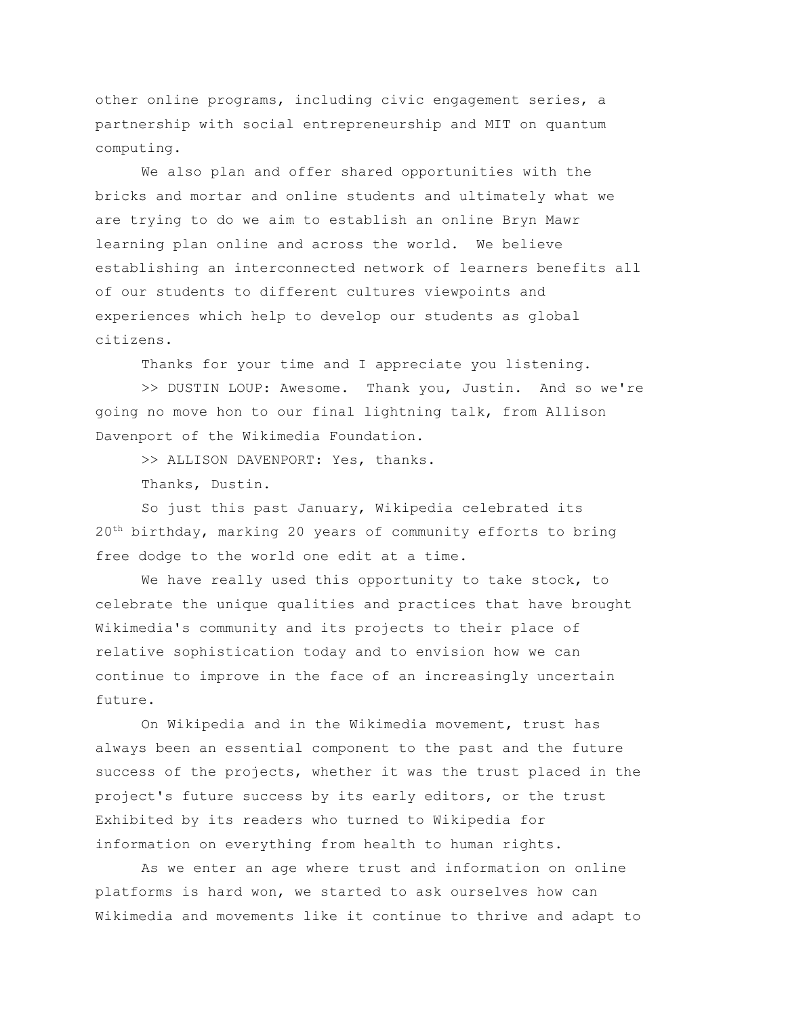other online programs, including civic engagement series, a partnership with social entrepreneurship and MIT on quantum computing.

We also plan and offer shared opportunities with the bricks and mortar and online students and ultimately what we are trying to do we aim to establish an online Bryn Mawr learning plan online and across the world. We believe establishing an interconnected network of learners benefits all of our students to different cultures viewpoints and experiences which help to develop our students as global citizens.

Thanks for your time and I appreciate you listening.

>> DUSTIN LOUP: Awesome. Thank you, Justin. And so we're going no move hon to our final lightning talk, from Allison Davenport of the Wikimedia Foundation.

>> ALLISON DAVENPORT: Yes, thanks.

Thanks, Dustin.

So just this past January, Wikipedia celebrated its 20<sup>th</sup> birthday, marking 20 years of community efforts to bring free dodge to the world one edit at a time.

We have really used this opportunity to take stock, to celebrate the unique qualities and practices that have brought Wikimedia's community and its projects to their place of relative sophistication today and to envision how we can continue to improve in the face of an increasingly uncertain future.

On Wikipedia and in the Wikimedia movement, trust has always been an essential component to the past and the future success of the projects, whether it was the trust placed in the project's future success by its early editors, or the trust Exhibited by its readers who turned to Wikipedia for information on everything from health to human rights.

As we enter an age where trust and information on online platforms is hard won, we started to ask ourselves how can Wikimedia and movements like it continue to thrive and adapt to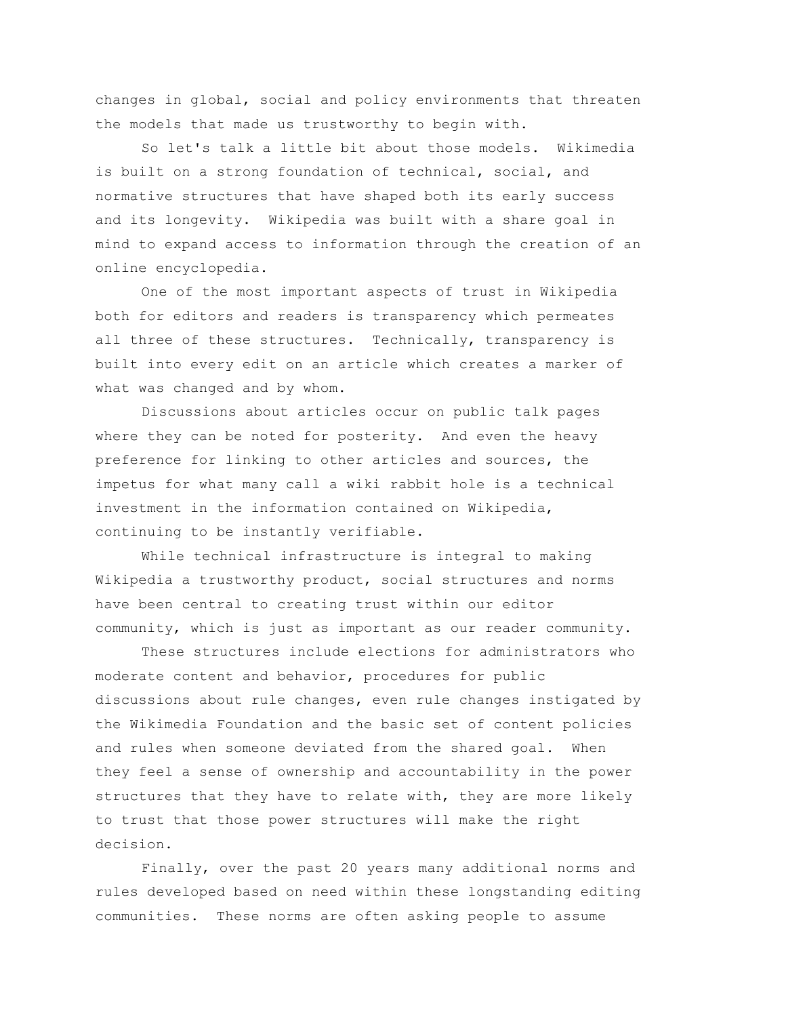changes in global, social and policy environments that threaten the models that made us trustworthy to begin with.

So let's talk a little bit about those models. Wikimedia is built on a strong foundation of technical, social, and normative structures that have shaped both its early success and its longevity. Wikipedia was built with a share goal in mind to expand access to information through the creation of an online encyclopedia.

One of the most important aspects of trust in Wikipedia both for editors and readers is transparency which permeates all three of these structures. Technically, transparency is built into every edit on an article which creates a marker of what was changed and by whom.

Discussions about articles occur on public talk pages where they can be noted for posterity. And even the heavy preference for linking to other articles and sources, the impetus for what many call a wiki rabbit hole is a technical investment in the information contained on Wikipedia, continuing to be instantly verifiable.

While technical infrastructure is integral to making Wikipedia a trustworthy product, social structures and norms have been central to creating trust within our editor community, which is just as important as our reader community.

These structures include elections for administrators who moderate content and behavior, procedures for public discussions about rule changes, even rule changes instigated by the Wikimedia Foundation and the basic set of content policies and rules when someone deviated from the shared goal. When they feel a sense of ownership and accountability in the power structures that they have to relate with, they are more likely to trust that those power structures will make the right decision.

Finally, over the past 20 years many additional norms and rules developed based on need within these longstanding editing communities. These norms are often asking people to assume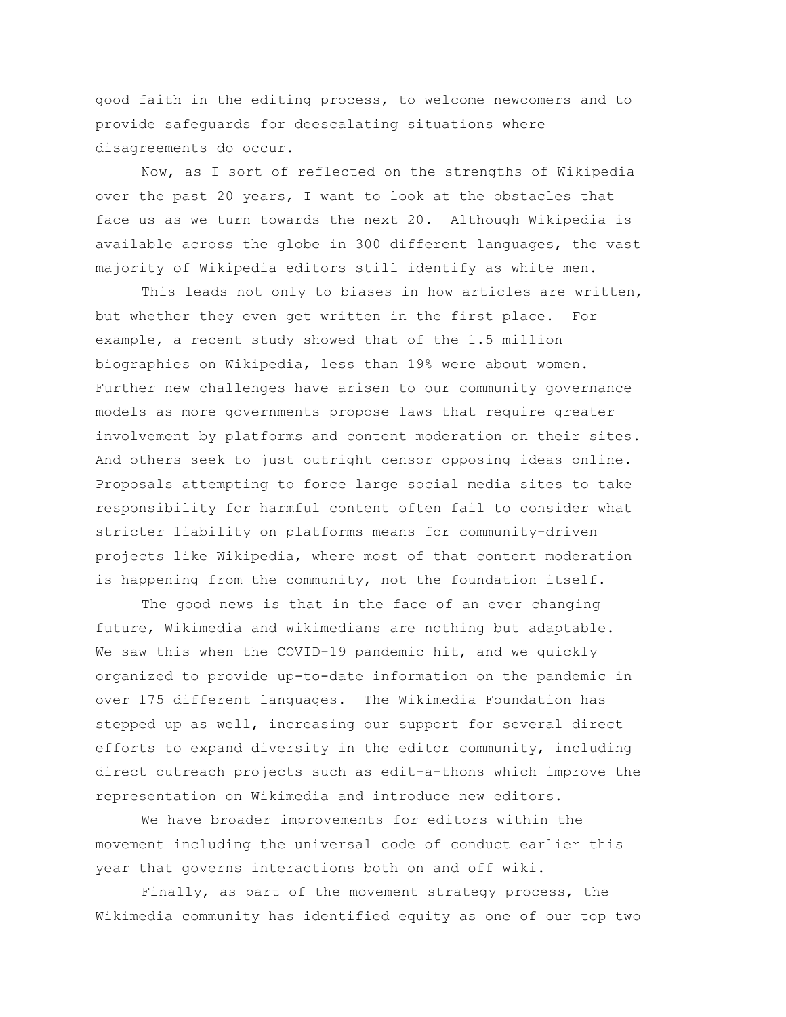good faith in the editing process, to welcome newcomers and to provide safeguards for deescalating situations where disagreements do occur.

Now, as I sort of reflected on the strengths of Wikipedia over the past 20 years, I want to look at the obstacles that face us as we turn towards the next 20. Although Wikipedia is available across the globe in 300 different languages, the vast majority of Wikipedia editors still identify as white men.

This leads not only to biases in how articles are written, but whether they even get written in the first place. For example, a recent study showed that of the 1.5 million biographies on Wikipedia, less than 19% were about women. Further new challenges have arisen to our community governance models as more governments propose laws that require greater involvement by platforms and content moderation on their sites. And others seek to just outright censor opposing ideas online. Proposals attempting to force large social media sites to take responsibility for harmful content often fail to consider what stricter liability on platforms means for community-driven projects like Wikipedia, where most of that content moderation is happening from the community, not the foundation itself.

The good news is that in the face of an ever changing future, Wikimedia and wikimedians are nothing but adaptable. We saw this when the COVID-19 pandemic hit, and we quickly organized to provide up-to-date information on the pandemic in over 175 different languages. The Wikimedia Foundation has stepped up as well, increasing our support for several direct efforts to expand diversity in the editor community, including direct outreach projects such as edit-a-thons which improve the representation on Wikimedia and introduce new editors.

We have broader improvements for editors within the movement including the universal code of conduct earlier this year that governs interactions both on and off wiki.

Finally, as part of the movement strategy process, the Wikimedia community has identified equity as one of our top two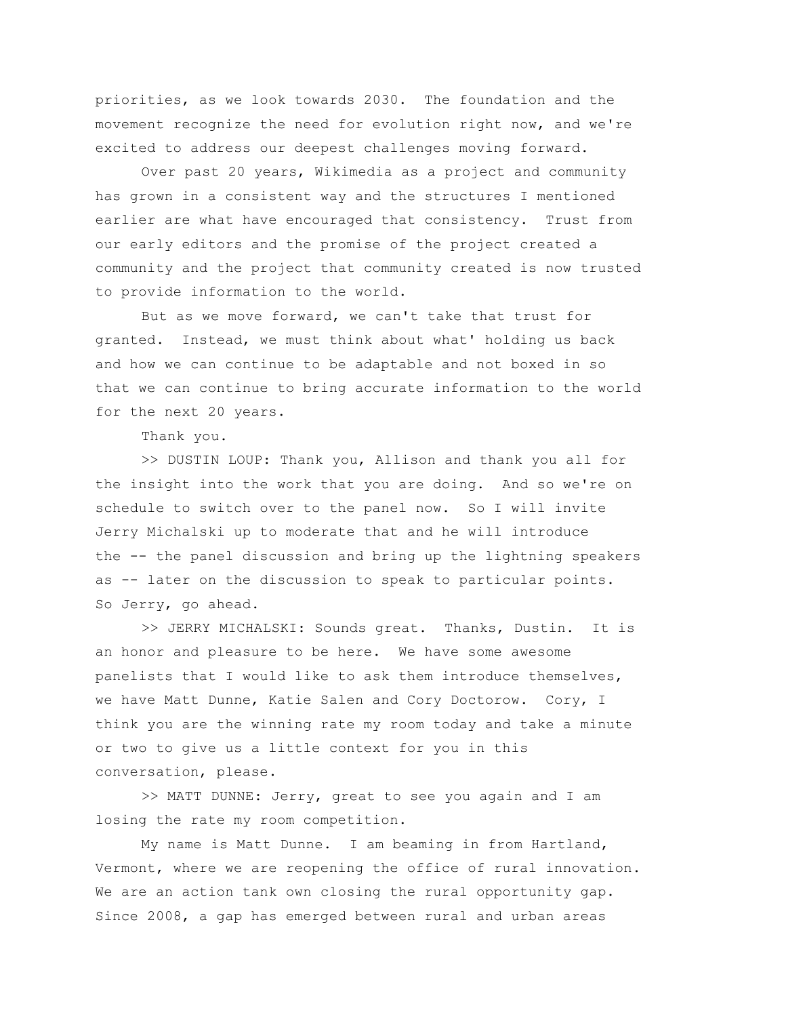priorities, as we look towards 2030. The foundation and the movement recognize the need for evolution right now, and we're excited to address our deepest challenges moving forward.

Over past 20 years, Wikimedia as a project and community has grown in a consistent way and the structures I mentioned earlier are what have encouraged that consistency. Trust from our early editors and the promise of the project created a community and the project that community created is now trusted to provide information to the world.

But as we move forward, we can't take that trust for granted. Instead, we must think about what' holding us back and how we can continue to be adaptable and not boxed in so that we can continue to bring accurate information to the world for the next 20 years.

Thank you.

>> DUSTIN LOUP: Thank you, Allison and thank you all for the insight into the work that you are doing. And so we're on schedule to switch over to the panel now. So I will invite Jerry Michalski up to moderate that and he will introduce the -- the panel discussion and bring up the lightning speakers as -- later on the discussion to speak to particular points. So Jerry, go ahead.

>> JERRY MICHALSKI: Sounds great. Thanks, Dustin. It is an honor and pleasure to be here. We have some awesome panelists that I would like to ask them introduce themselves, we have Matt Dunne, Katie Salen and Cory Doctorow. Cory, I think you are the winning rate my room today and take a minute or two to give us a little context for you in this conversation, please.

>> MATT DUNNE: Jerry, great to see you again and I am losing the rate my room competition.

My name is Matt Dunne. I am beaming in from Hartland, Vermont, where we are reopening the office of rural innovation. We are an action tank own closing the rural opportunity gap. Since 2008, a gap has emerged between rural and urban areas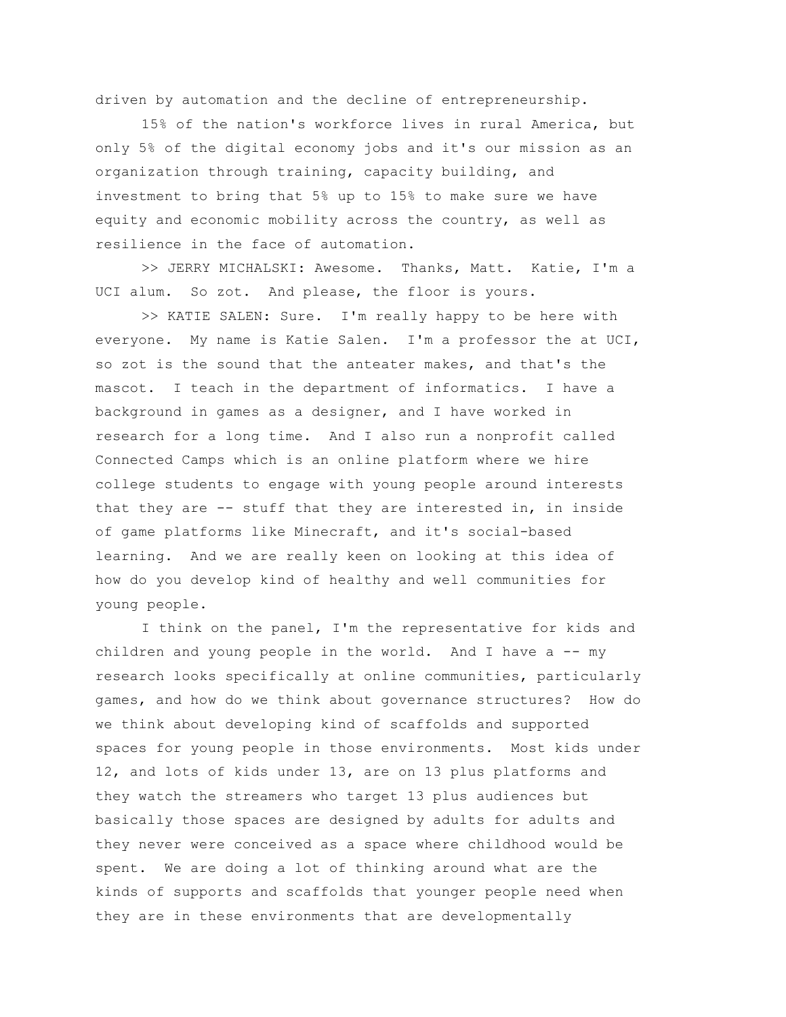driven by automation and the decline of entrepreneurship.

15% of the nation's workforce lives in rural America, but only 5% of the digital economy jobs and it's our mission as an organization through training, capacity building, and investment to bring that 5% up to 15% to make sure we have equity and economic mobility across the country, as well as resilience in the face of automation.

>> JERRY MICHALSKI: Awesome. Thanks, Matt. Katie, I'm a UCI alum. So zot. And please, the floor is yours.

>> KATIE SALEN: Sure. I'm really happy to be here with everyone. My name is Katie Salen. I'm a professor the at UCI, so zot is the sound that the anteater makes, and that's the mascot. I teach in the department of informatics. I have a background in games as a designer, and I have worked in research for a long time. And I also run a nonprofit called Connected Camps which is an online platform where we hire college students to engage with young people around interests that they are -- stuff that they are interested in, in inside of game platforms like Minecraft, and it's social-based learning. And we are really keen on looking at this idea of how do you develop kind of healthy and well communities for young people.

I think on the panel, I'm the representative for kids and children and young people in the world. And I have  $a - - my$ research looks specifically at online communities, particularly games, and how do we think about governance structures? How do we think about developing kind of scaffolds and supported spaces for young people in those environments. Most kids under 12, and lots of kids under 13, are on 13 plus platforms and they watch the streamers who target 13 plus audiences but basically those spaces are designed by adults for adults and they never were conceived as a space where childhood would be spent. We are doing a lot of thinking around what are the kinds of supports and scaffolds that younger people need when they are in these environments that are developmentally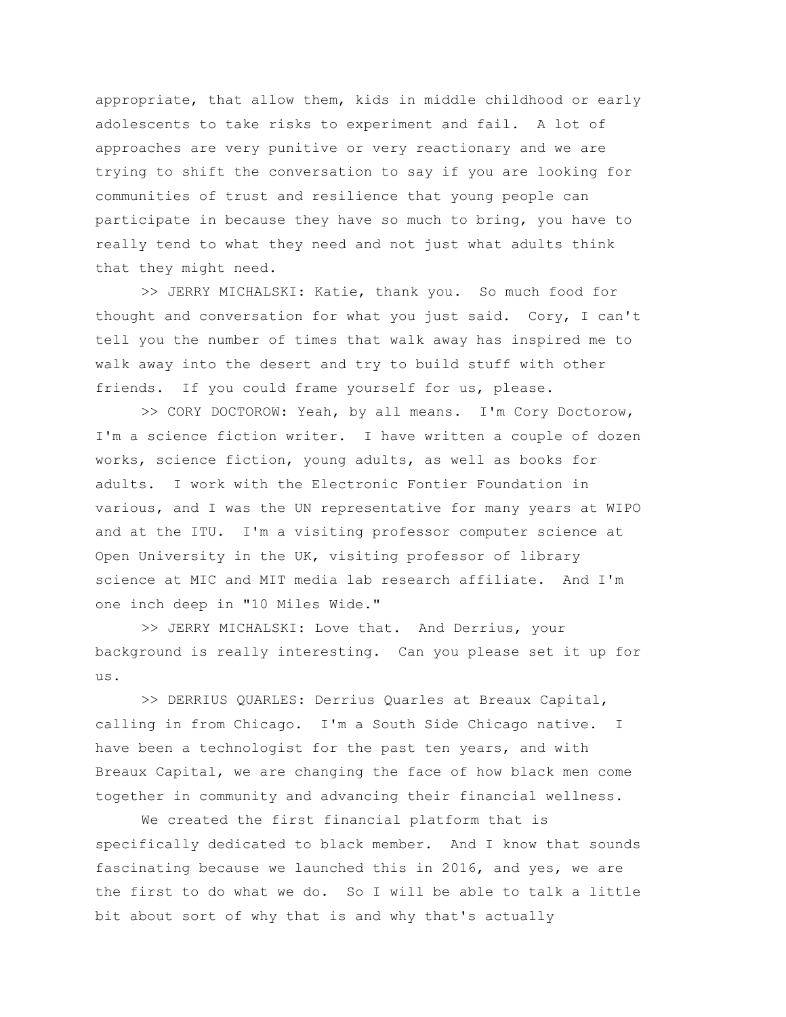appropriate, that allow them, kids in middle childhood or early adolescents to take risks to experiment and fail. A lot of approaches are very punitive or very reactionary and we are trying to shift the conversation to say if you are looking for communities of trust and resilience that young people can participate in because they have so much to bring, you have to really tend to what they need and not just what adults think that they might need.

>> JERRY MICHALSKI: Katie, thank you. So much food for thought and conversation for what you just said. Cory, I can't tell you the number of times that walk away has inspired me to walk away into the desert and try to build stuff with other friends. If you could frame yourself for us, please.

>> CORY DOCTOROW: Yeah, by all means. I'm Cory Doctorow, I'm a science fiction writer. I have written a couple of dozen works, science fiction, young adults, as well as books for adults. I work with the Electronic Fontier Foundation in various, and I was the UN representative for many years at WIPO and at the ITU. I'm a visiting professor computer science at Open University in the UK, visiting professor of library science at MIC and MIT media lab research affiliate. And I'm one inch deep in "10 Miles Wide."

>> JERRY MICHALSKI: Love that. And Derrius, your background is really interesting. Can you please set it up for  $11S.$ 

>> DERRIUS QUARLES: Derrius Quarles at Breaux Capital, calling in from Chicago. I'm a South Side Chicago native. I have been a technologist for the past ten years, and with Breaux Capital, we are changing the face of how black men come together in community and advancing their financial wellness.

We created the first financial platform that is specifically dedicated to black member. And I know that sounds fascinating because we launched this in 2016, and yes, we are the first to do what we do. So I will be able to talk a little bit about sort of why that is and why that's actually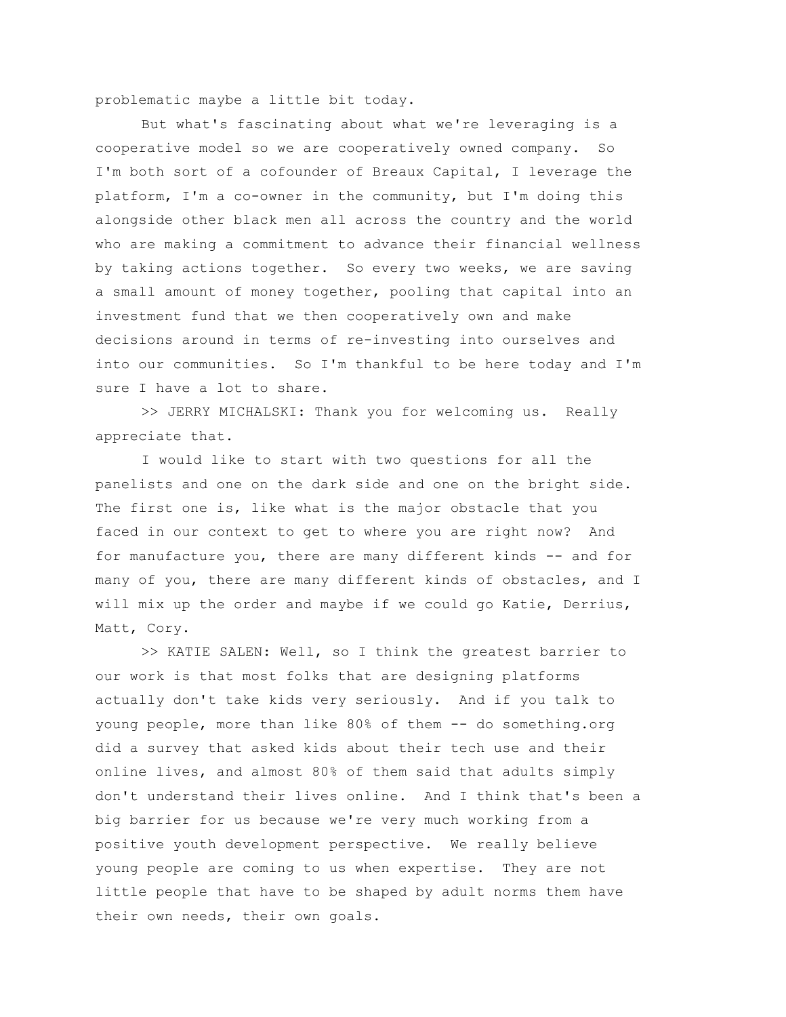problematic maybe a little bit today.

But what's fascinating about what we're leveraging is a cooperative model so we are cooperatively owned company. So I'm both sort of a cofounder of Breaux Capital, I leverage the platform, I'm a co-owner in the community, but I'm doing this alongside other black men all across the country and the world who are making a commitment to advance their financial wellness by taking actions together. So every two weeks, we are saving a small amount of money together, pooling that capital into an investment fund that we then cooperatively own and make decisions around in terms of re-investing into ourselves and into our communities. So I'm thankful to be here today and I'm sure I have a lot to share.

>> JERRY MICHALSKI: Thank you for welcoming us. Really appreciate that.

I would like to start with two questions for all the panelists and one on the dark side and one on the bright side. The first one is, like what is the major obstacle that you faced in our context to get to where you are right now? And for manufacture you, there are many different kinds -- and for many of you, there are many different kinds of obstacles, and I will mix up the order and maybe if we could go Katie, Derrius, Matt, Cory.

>> KATIE SALEN: Well, so I think the greatest barrier to our work is that most folks that are designing platforms actually don't take kids very seriously. And if you talk to young people, more than like 80% of them -- do something.org did a survey that asked kids about their tech use and their online lives, and almost 80% of them said that adults simply don't understand their lives online. And I think that's been a big barrier for us because we're very much working from a positive youth development perspective. We really believe young people are coming to us when expertise. They are not little people that have to be shaped by adult norms them have their own needs, their own goals.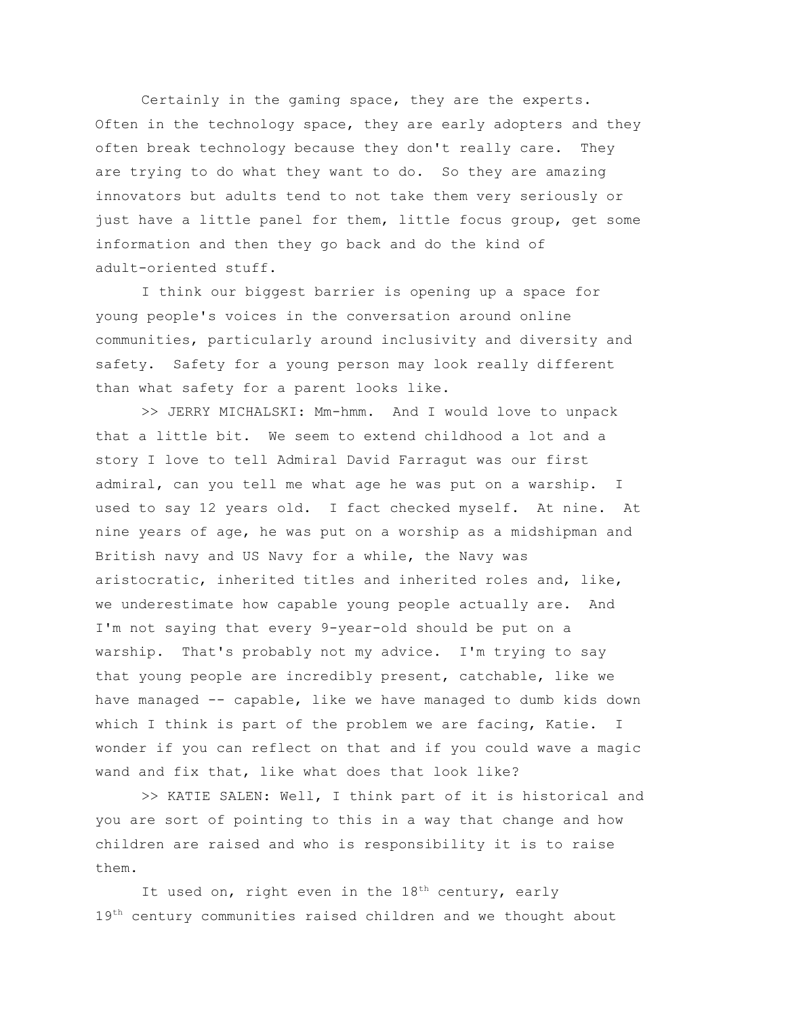Certainly in the gaming space, they are the experts. Often in the technology space, they are early adopters and they often break technology because they don't really care. They are trying to do what they want to do. So they are amazing innovators but adults tend to not take them very seriously or just have a little panel for them, little focus group, get some information and then they go back and do the kind of adult-oriented stuff.

I think our biggest barrier is opening up a space for young people's voices in the conversation around online communities, particularly around inclusivity and diversity and safety. Safety for a young person may look really different than what safety for a parent looks like.

>> JERRY MICHALSKI: Mm-hmm. And I would love to unpack that a little bit. We seem to extend childhood a lot and a story I love to tell Admiral David Farragut was our first admiral, can you tell me what age he was put on a warship. I used to say 12 years old. I fact checked myself. At nine. At nine years of age, he was put on a worship as a midshipman and British navy and US Navy for a while, the Navy was aristocratic, inherited titles and inherited roles and, like, we underestimate how capable young people actually are. And I'm not saying that every 9-year-old should be put on a warship. That's probably not my advice. I'm trying to say that young people are incredibly present, catchable, like we have managed -- capable, like we have managed to dumb kids down which I think is part of the problem we are facing, Katie. I wonder if you can reflect on that and if you could wave a magic wand and fix that, like what does that look like?

>> KATIE SALEN: Well, I think part of it is historical and you are sort of pointing to this in a way that change and how children are raised and who is responsibility it is to raise them.

It used on, right even in the  $18<sup>th</sup>$  century, early 19<sup>th</sup> century communities raised children and we thought about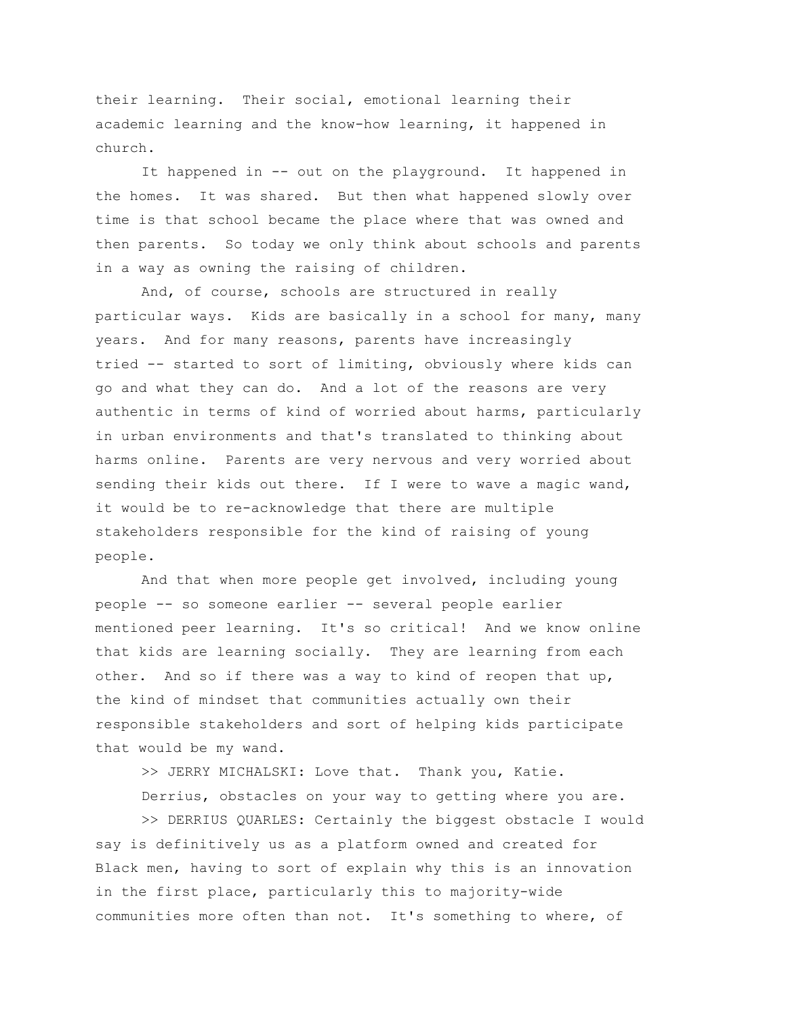their learning. Their social, emotional learning their academic learning and the know-how learning, it happened in church.

It happened in -- out on the playground. It happened in the homes. It was shared. But then what happened slowly over time is that school became the place where that was owned and then parents. So today we only think about schools and parents in a way as owning the raising of children.

And, of course, schools are structured in really particular ways. Kids are basically in a school for many, many years. And for many reasons, parents have increasingly tried -- started to sort of limiting, obviously where kids can go and what they can do. And a lot of the reasons are very authentic in terms of kind of worried about harms, particularly in urban environments and that's translated to thinking about harms online. Parents are very nervous and very worried about sending their kids out there. If I were to wave a magic wand, it would be to re-acknowledge that there are multiple stakeholders responsible for the kind of raising of young people.

And that when more people get involved, including young people -- so someone earlier -- several people earlier mentioned peer learning. It's so critical! And we know online that kids are learning socially. They are learning from each other. And so if there was a way to kind of reopen that up, the kind of mindset that communities actually own their responsible stakeholders and sort of helping kids participate that would be my wand.

>> JERRY MICHALSKI: Love that. Thank you, Katie.

Derrius, obstacles on your way to getting where you are.

>> DERRIUS QUARLES: Certainly the biggest obstacle I would say is definitively us as a platform owned and created for Black men, having to sort of explain why this is an innovation in the first place, particularly this to majority-wide communities more often than not. It's something to where, of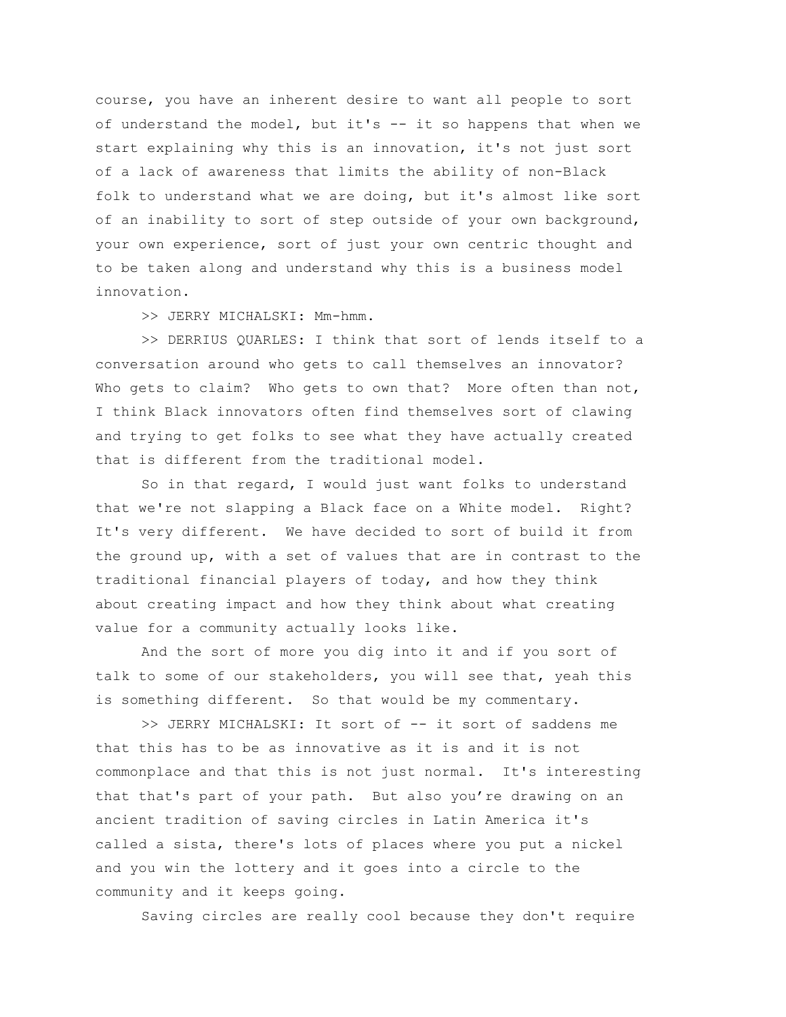course, you have an inherent desire to want all people to sort of understand the model, but it's -- it so happens that when we start explaining why this is an innovation, it's not just sort of a lack of awareness that limits the ability of non-Black folk to understand what we are doing, but it's almost like sort of an inability to sort of step outside of your own background, your own experience, sort of just your own centric thought and to be taken along and understand why this is a business model innovation.

>> JERRY MICHALSKI: Mm-hmm.

>> DERRIUS QUARLES: I think that sort of lends itself to a conversation around who gets to call themselves an innovator? Who gets to claim? Who gets to own that? More often than not, I think Black innovators often find themselves sort of clawing and trying to get folks to see what they have actually created that is different from the traditional model.

So in that regard, I would just want folks to understand that we're not slapping a Black face on a White model. Right? It's very different. We have decided to sort of build it from the ground up, with a set of values that are in contrast to the traditional financial players of today, and how they think about creating impact and how they think about what creating value for a community actually looks like.

And the sort of more you dig into it and if you sort of talk to some of our stakeholders, you will see that, yeah this is something different. So that would be my commentary.

>> JERRY MICHALSKI: It sort of -- it sort of saddens me that this has to be as innovative as it is and it is not commonplace and that this is not just normal. It's interesting that that's part of your path. But also you're drawing on an ancient tradition of saving circles in Latin America it's called a sista, there's lots of places where you put a nickel and you win the lottery and it goes into a circle to the community and it keeps going.

Saving circles are really cool because they don't require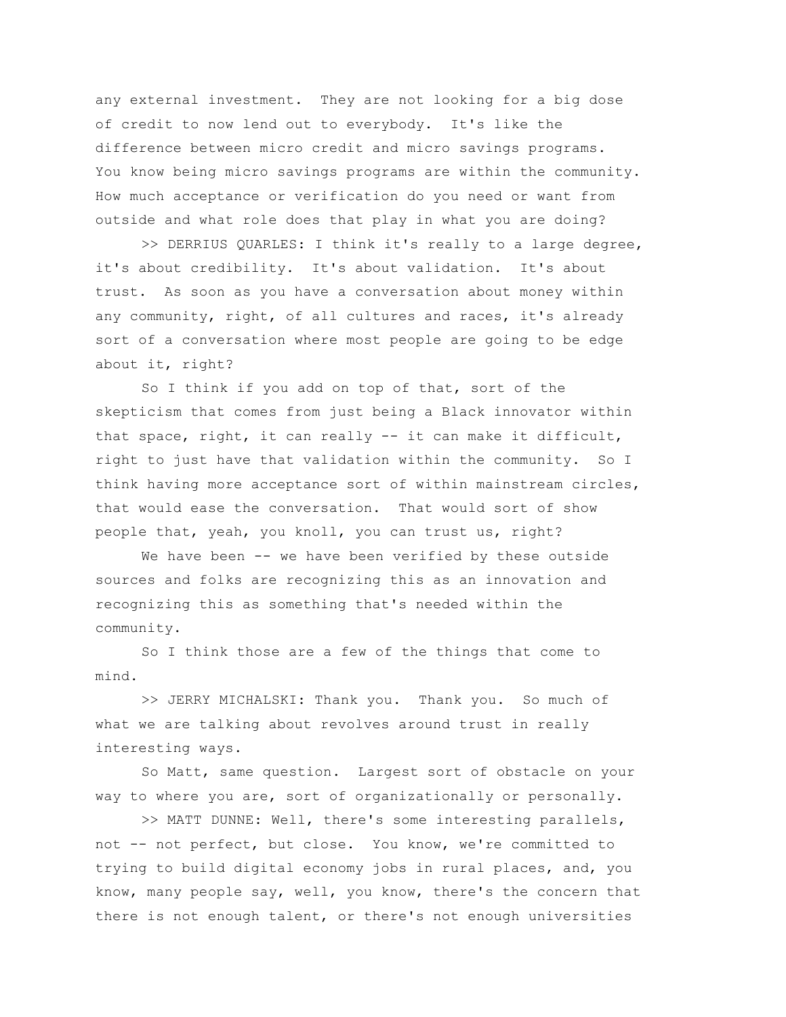any external investment. They are not looking for a big dose of credit to now lend out to everybody. It's like the difference between micro credit and micro savings programs. You know being micro savings programs are within the community. How much acceptance or verification do you need or want from outside and what role does that play in what you are doing?

>> DERRIUS QUARLES: I think it's really to a large degree, it's about credibility. It's about validation. It's about trust. As soon as you have a conversation about money within any community, right, of all cultures and races, it's already sort of a conversation where most people are going to be edge about it, right?

So I think if you add on top of that, sort of the skepticism that comes from just being a Black innovator within that space, right, it can really -- it can make it difficult, right to just have that validation within the community. So I think having more acceptance sort of within mainstream circles, that would ease the conversation. That would sort of show people that, yeah, you knoll, you can trust us, right?

We have been -- we have been verified by these outside sources and folks are recognizing this as an innovation and recognizing this as something that's needed within the community.

So I think those are a few of the things that come to mind.

>> JERRY MICHALSKI: Thank you. Thank you. So much of what we are talking about revolves around trust in really interesting ways.

So Matt, same question. Largest sort of obstacle on your way to where you are, sort of organizationally or personally.

>> MATT DUNNE: Well, there's some interesting parallels, not -- not perfect, but close. You know, we're committed to trying to build digital economy jobs in rural places, and, you know, many people say, well, you know, there's the concern that there is not enough talent, or there's not enough universities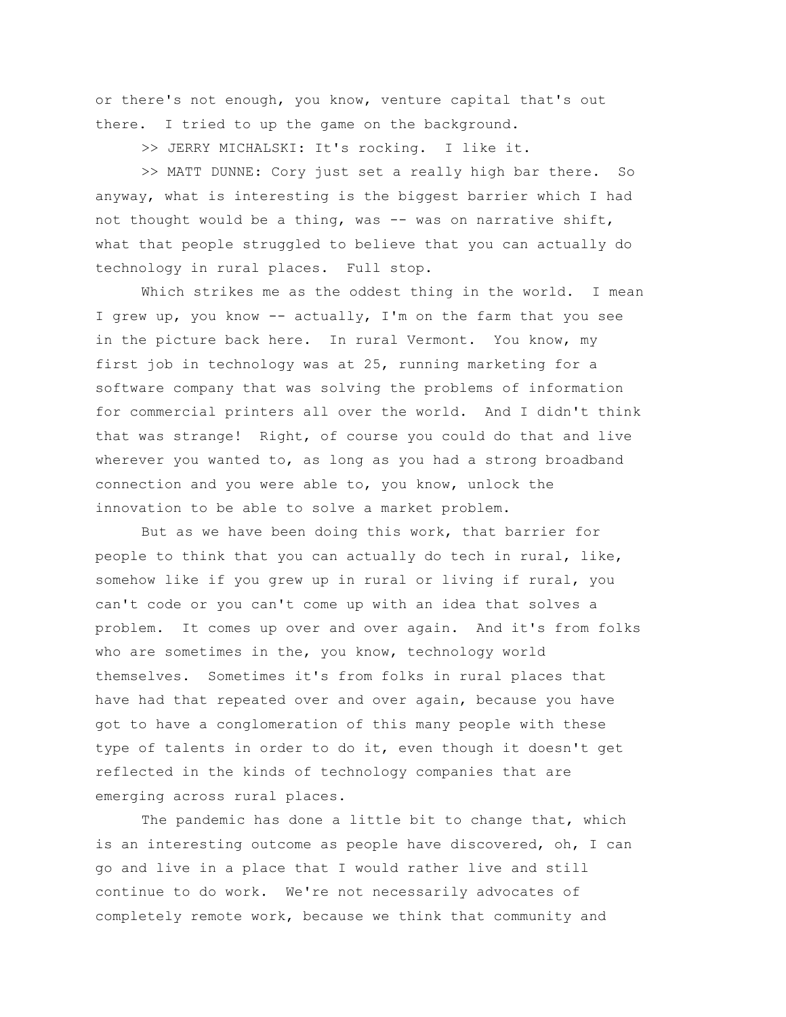or there's not enough, you know, venture capital that's out there. I tried to up the game on the background.

>> JERRY MICHALSKI: It's rocking. I like it.

>> MATT DUNNE: Cory just set a really high bar there. So anyway, what is interesting is the biggest barrier which I had not thought would be a thing, was -- was on narrative shift, what that people struggled to believe that you can actually do technology in rural places. Full stop.

Which strikes me as the oddest thing in the world. I mean I grew up, you know -- actually, I'm on the farm that you see in the picture back here. In rural Vermont. You know, my first job in technology was at 25, running marketing for a software company that was solving the problems of information for commercial printers all over the world. And I didn't think that was strange! Right, of course you could do that and live wherever you wanted to, as long as you had a strong broadband connection and you were able to, you know, unlock the innovation to be able to solve a market problem.

But as we have been doing this work, that barrier for people to think that you can actually do tech in rural, like, somehow like if you grew up in rural or living if rural, you can't code or you can't come up with an idea that solves a problem. It comes up over and over again. And it's from folks who are sometimes in the, you know, technology world themselves. Sometimes it's from folks in rural places that have had that repeated over and over again, because you have got to have a conglomeration of this many people with these type of talents in order to do it, even though it doesn't get reflected in the kinds of technology companies that are emerging across rural places.

The pandemic has done a little bit to change that, which is an interesting outcome as people have discovered, oh, I can go and live in a place that I would rather live and still continue to do work. We're not necessarily advocates of completely remote work, because we think that community and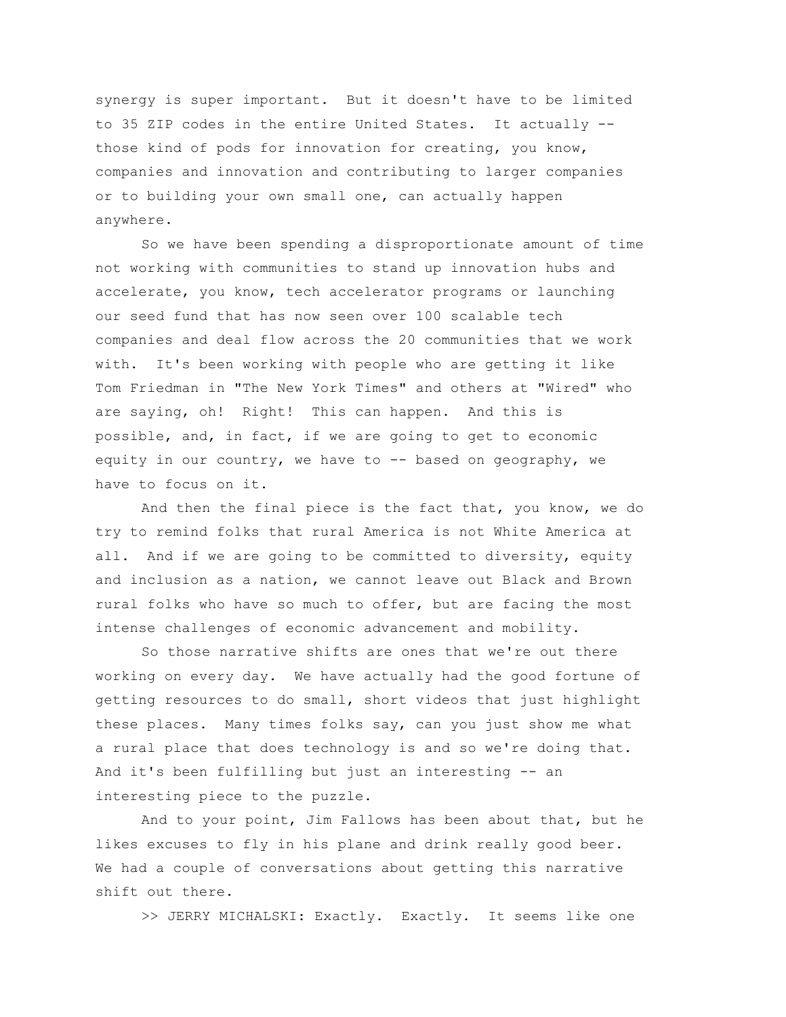synergy is super important. But it doesn't have to be limited to 35 ZIP codes in the entire United States. It actually - those kind of pods for innovation for creating, you know, companies and innovation and contributing to larger companies or to building your own small one, can actually happen anywhere.

So we have been spending a disproportionate amount of time not working with communities to stand up innovation hubs and accelerate, you know, tech accelerator programs or launching our seed fund that has now seen over 100 scalable tech companies and deal flow across the 20 communities that we work with. It's been working with people who are getting it like Tom Friedman in "The New York Times" and others at "Wired" who are saying, oh! Right! This can happen. And this is possible, and, in fact, if we are going to get to economic equity in our country, we have to  $-$  based on geography, we have to focus on it.

And then the final piece is the fact that, you know, we do try to remind folks that rural America is not White America at all. And if we are going to be committed to diversity, equity and inclusion as a nation, we cannot leave out Black and Brown rural folks who have so much to offer, but are facing the most intense challenges of economic advancement and mobility.

So those narrative shifts are ones that we're out there working on every day. We have actually had the good fortune of getting resources to do small, short videos that just highlight these places. Many times folks say, can you just show me what a rural place that does technology is and so we're doing that. And it's been fulfilling but just an interesting -- an interesting piece to the puzzle.

And to your point, Jim Fallows has been about that, but he likes excuses to fly in his plane and drink really good beer. We had a couple of conversations about getting this narrative shift out there.

>> JERRY MICHALSKI: Exactly. Exactly. It seems like one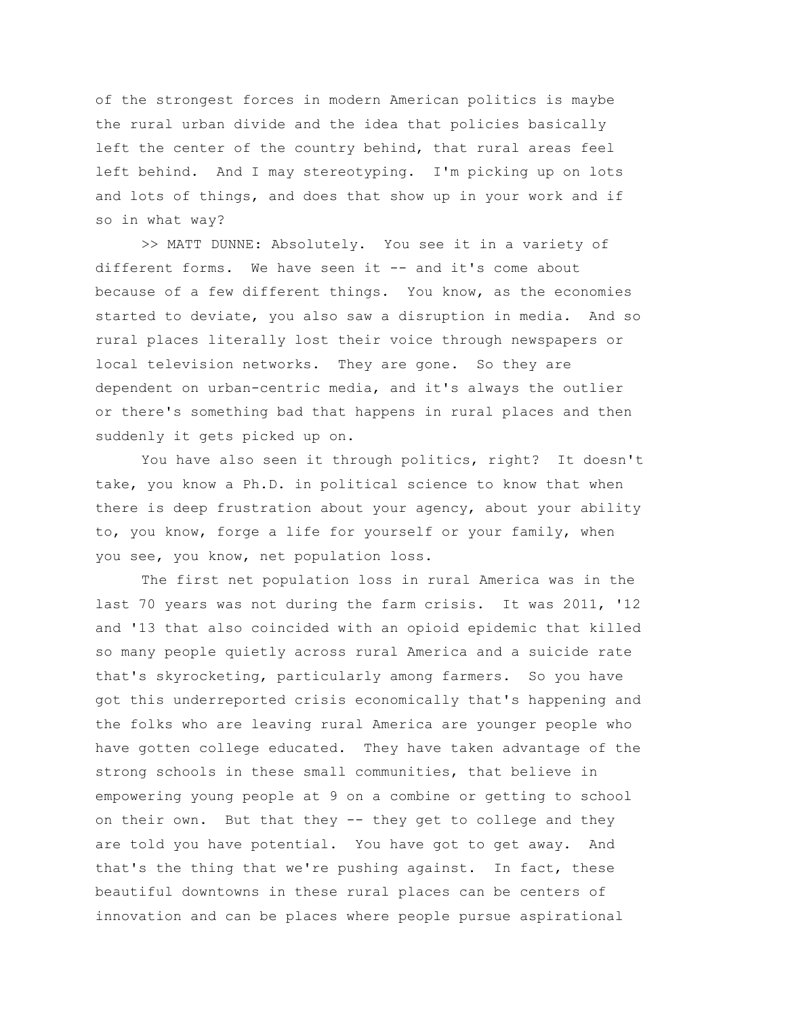of the strongest forces in modern American politics is maybe the rural urban divide and the idea that policies basically left the center of the country behind, that rural areas feel left behind. And I may stereotyping. I'm picking up on lots and lots of things, and does that show up in your work and if so in what way?

>> MATT DUNNE: Absolutely. You see it in a variety of different forms. We have seen it -- and it's come about because of a few different things. You know, as the economies started to deviate, you also saw a disruption in media. And so rural places literally lost their voice through newspapers or local television networks. They are gone. So they are dependent on urban-centric media, and it's always the outlier or there's something bad that happens in rural places and then suddenly it gets picked up on.

You have also seen it through politics, right? It doesn't take, you know a Ph.D. in political science to know that when there is deep frustration about your agency, about your ability to, you know, forge a life for yourself or your family, when you see, you know, net population loss.

The first net population loss in rural America was in the last 70 years was not during the farm crisis. It was 2011, '12 and '13 that also coincided with an opioid epidemic that killed so many people quietly across rural America and a suicide rate that's skyrocketing, particularly among farmers. So you have got this underreported crisis economically that's happening and the folks who are leaving rural America are younger people who have gotten college educated. They have taken advantage of the strong schools in these small communities, that believe in empowering young people at 9 on a combine or getting to school on their own. But that they -- they get to college and they are told you have potential. You have got to get away. And that's the thing that we're pushing against. In fact, these beautiful downtowns in these rural places can be centers of innovation and can be places where people pursue aspirational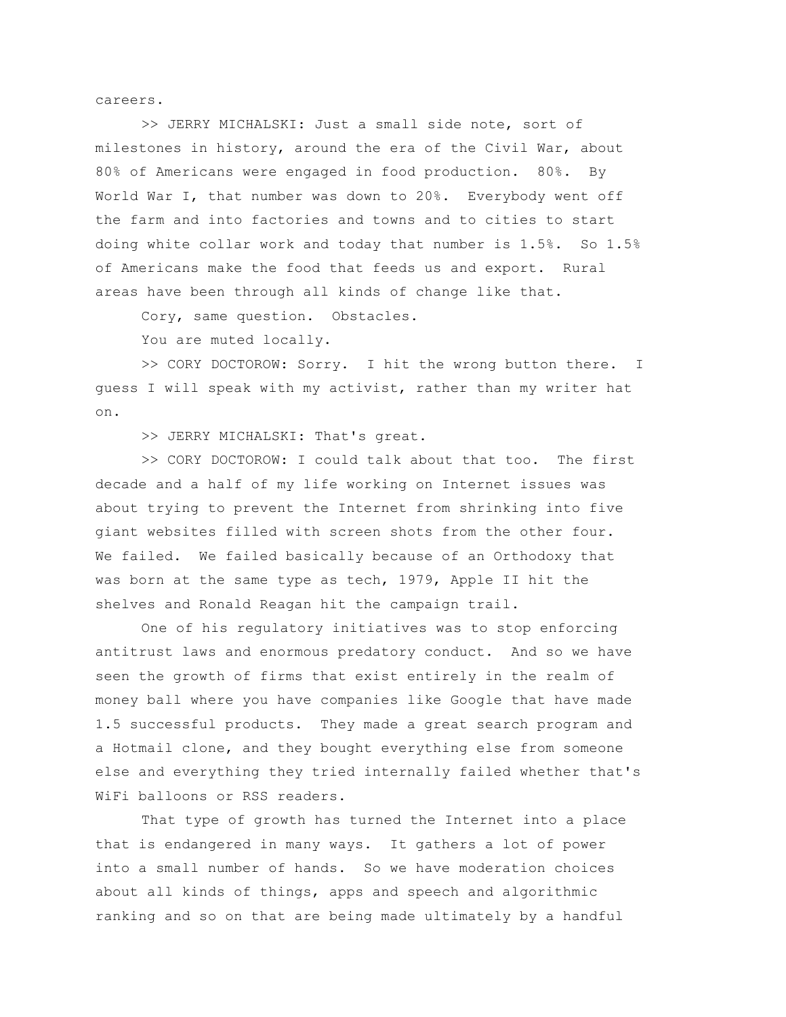careers.

>> JERRY MICHALSKI: Just a small side note, sort of milestones in history, around the era of the Civil War, about 80% of Americans were engaged in food production. 80%. By World War I, that number was down to 20%. Everybody went off the farm and into factories and towns and to cities to start doing white collar work and today that number is 1.5%. So 1.5% of Americans make the food that feeds us and export. Rural areas have been through all kinds of change like that.

Cory, same question. Obstacles.

You are muted locally.

>> CORY DOCTOROW: Sorry. I hit the wrong button there. I guess I will speak with my activist, rather than my writer hat on.

>> JERRY MICHALSKI: That's great.

>> CORY DOCTOROW: I could talk about that too. The first decade and a half of my life working on Internet issues was about trying to prevent the Internet from shrinking into five giant websites filled with screen shots from the other four. We failed. We failed basically because of an Orthodoxy that was born at the same type as tech, 1979, Apple II hit the shelves and Ronald Reagan hit the campaign trail.

One of his regulatory initiatives was to stop enforcing antitrust laws and enormous predatory conduct. And so we have seen the growth of firms that exist entirely in the realm of money ball where you have companies like Google that have made 1.5 successful products. They made a great search program and a Hotmail clone, and they bought everything else from someone else and everything they tried internally failed whether that's WiFi balloons or RSS readers.

That type of growth has turned the Internet into a place that is endangered in many ways. It gathers a lot of power into a small number of hands. So we have moderation choices about all kinds of things, apps and speech and algorithmic ranking and so on that are being made ultimately by a handful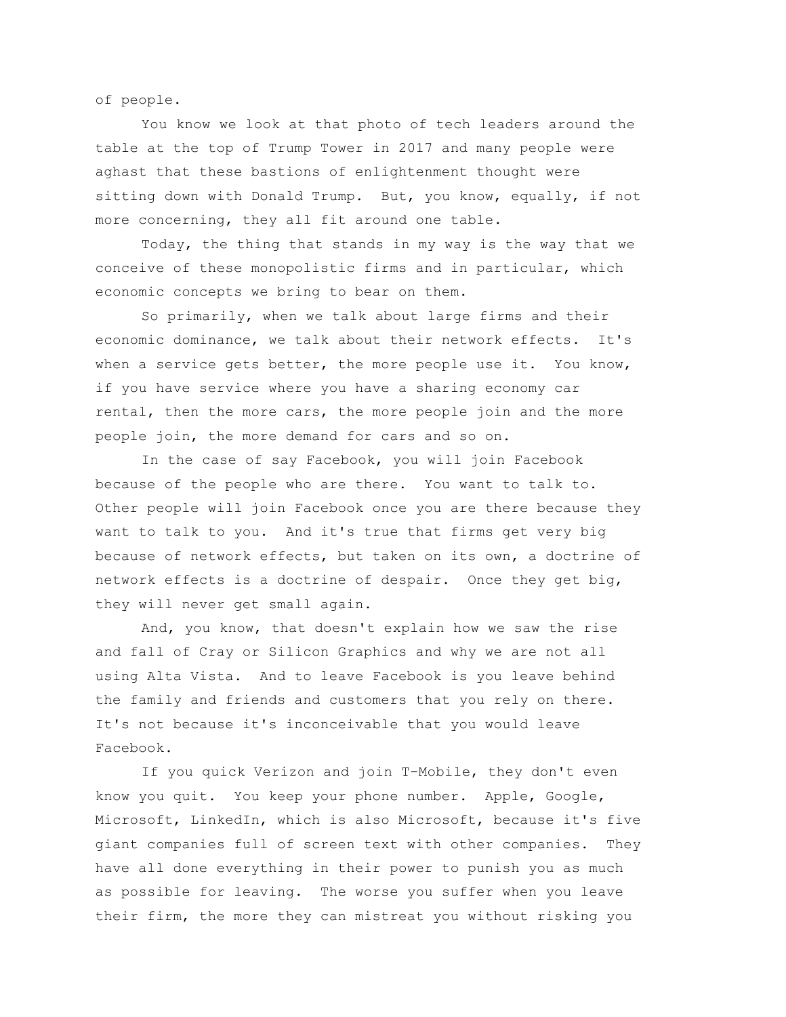of people.

You know we look at that photo of tech leaders around the table at the top of Trump Tower in 2017 and many people were aghast that these bastions of enlightenment thought were sitting down with Donald Trump. But, you know, equally, if not more concerning, they all fit around one table.

Today, the thing that stands in my way is the way that we conceive of these monopolistic firms and in particular, which economic concepts we bring to bear on them.

So primarily, when we talk about large firms and their economic dominance, we talk about their network effects. It's when a service gets better, the more people use it. You know, if you have service where you have a sharing economy car rental, then the more cars, the more people join and the more people join, the more demand for cars and so on.

In the case of say Facebook, you will join Facebook because of the people who are there. You want to talk to. Other people will join Facebook once you are there because they want to talk to you. And it's true that firms get very big because of network effects, but taken on its own, a doctrine of network effects is a doctrine of despair. Once they get big, they will never get small again.

And, you know, that doesn't explain how we saw the rise and fall of Cray or Silicon Graphics and why we are not all using Alta Vista. And to leave Facebook is you leave behind the family and friends and customers that you rely on there. It's not because it's inconceivable that you would leave Facebook.

If you quick Verizon and join T-Mobile, they don't even know you quit. You keep your phone number. Apple, Google, Microsoft, LinkedIn, which is also Microsoft, because it's five giant companies full of screen text with other companies. They have all done everything in their power to punish you as much as possible for leaving. The worse you suffer when you leave their firm, the more they can mistreat you without risking you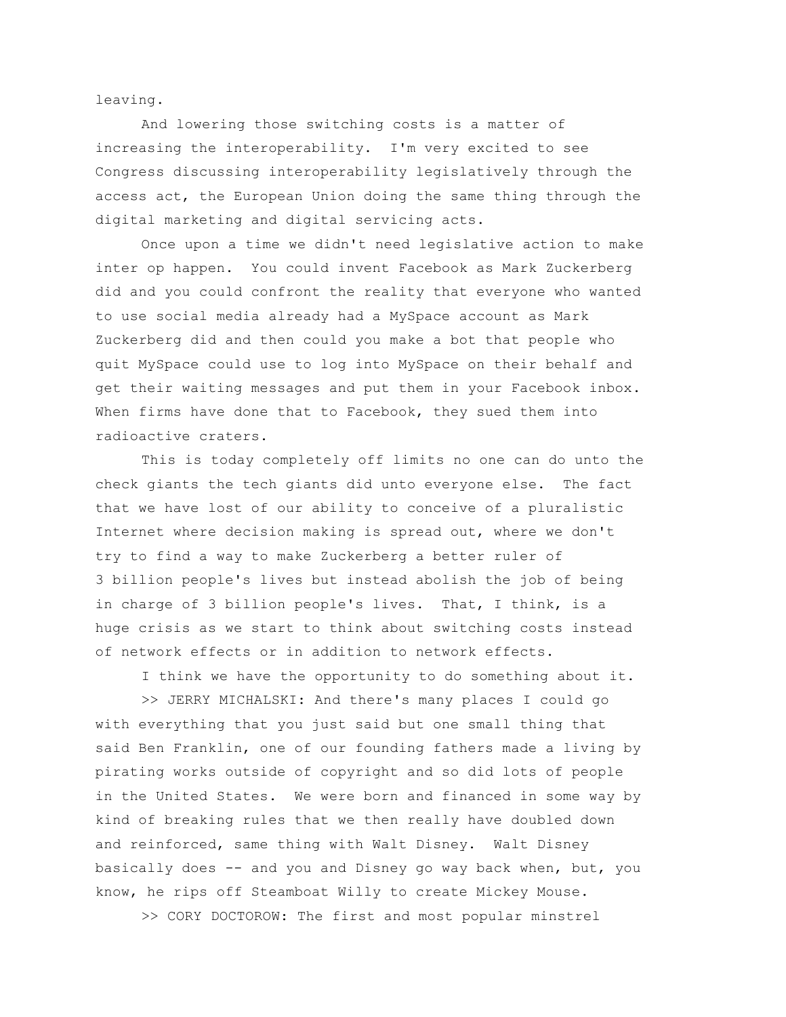leaving.

And lowering those switching costs is a matter of increasing the interoperability. I'm very excited to see Congress discussing interoperability legislatively through the access act, the European Union doing the same thing through the digital marketing and digital servicing acts.

Once upon a time we didn't need legislative action to make inter op happen. You could invent Facebook as Mark Zuckerberg did and you could confront the reality that everyone who wanted to use social media already had a MySpace account as Mark Zuckerberg did and then could you make a bot that people who quit MySpace could use to log into MySpace on their behalf and get their waiting messages and put them in your Facebook inbox. When firms have done that to Facebook, they sued them into radioactive craters.

This is today completely off limits no one can do unto the check giants the tech giants did unto everyone else. The fact that we have lost of our ability to conceive of a pluralistic Internet where decision making is spread out, where we don't try to find a way to make Zuckerberg a better ruler of 3 billion people's lives but instead abolish the job of being in charge of 3 billion people's lives. That, I think, is a huge crisis as we start to think about switching costs instead of network effects or in addition to network effects.

I think we have the opportunity to do something about it.

>> JERRY MICHALSKI: And there's many places I could go with everything that you just said but one small thing that said Ben Franklin, one of our founding fathers made a living by pirating works outside of copyright and so did lots of people in the United States. We were born and financed in some way by kind of breaking rules that we then really have doubled down and reinforced, same thing with Walt Disney. Walt Disney basically does -- and you and Disney go way back when, but, you know, he rips off Steamboat Willy to create Mickey Mouse.

>> CORY DOCTOROW: The first and most popular minstrel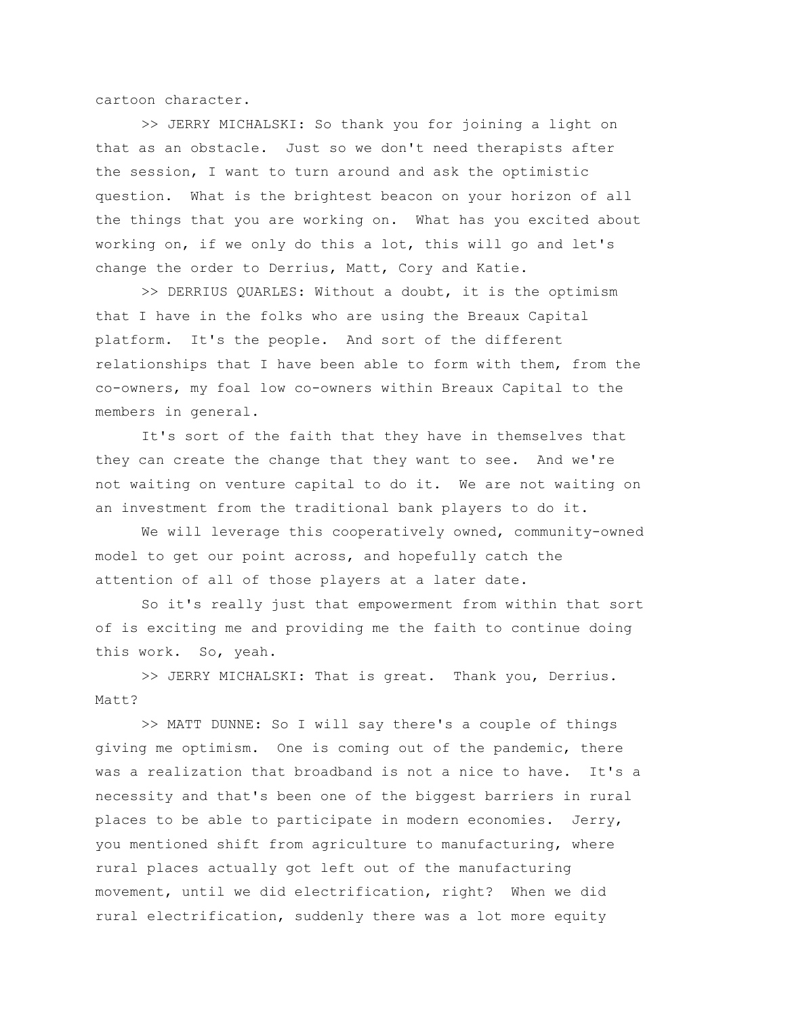cartoon character.

>> JERRY MICHALSKI: So thank you for joining a light on that as an obstacle. Just so we don't need therapists after the session, I want to turn around and ask the optimistic question. What is the brightest beacon on your horizon of all the things that you are working on. What has you excited about working on, if we only do this a lot, this will go and let's change the order to Derrius, Matt, Cory and Katie.

>> DERRIUS QUARLES: Without a doubt, it is the optimism that I have in the folks who are using the Breaux Capital platform. It's the people. And sort of the different relationships that I have been able to form with them, from the co-owners, my foal low co-owners within Breaux Capital to the members in general.

It's sort of the faith that they have in themselves that they can create the change that they want to see. And we're not waiting on venture capital to do it. We are not waiting on an investment from the traditional bank players to do it.

We will leverage this cooperatively owned, community-owned model to get our point across, and hopefully catch the attention of all of those players at a later date.

So it's really just that empowerment from within that sort of is exciting me and providing me the faith to continue doing this work. So, yeah.

>> JERRY MICHALSKI: That is great. Thank you, Derrius.  $M$ att<sup>2</sup>

>> MATT DUNNE: So I will say there's a couple of things giving me optimism. One is coming out of the pandemic, there was a realization that broadband is not a nice to have. It's a necessity and that's been one of the biggest barriers in rural places to be able to participate in modern economies. Jerry, you mentioned shift from agriculture to manufacturing, where rural places actually got left out of the manufacturing movement, until we did electrification, right? When we did rural electrification, suddenly there was a lot more equity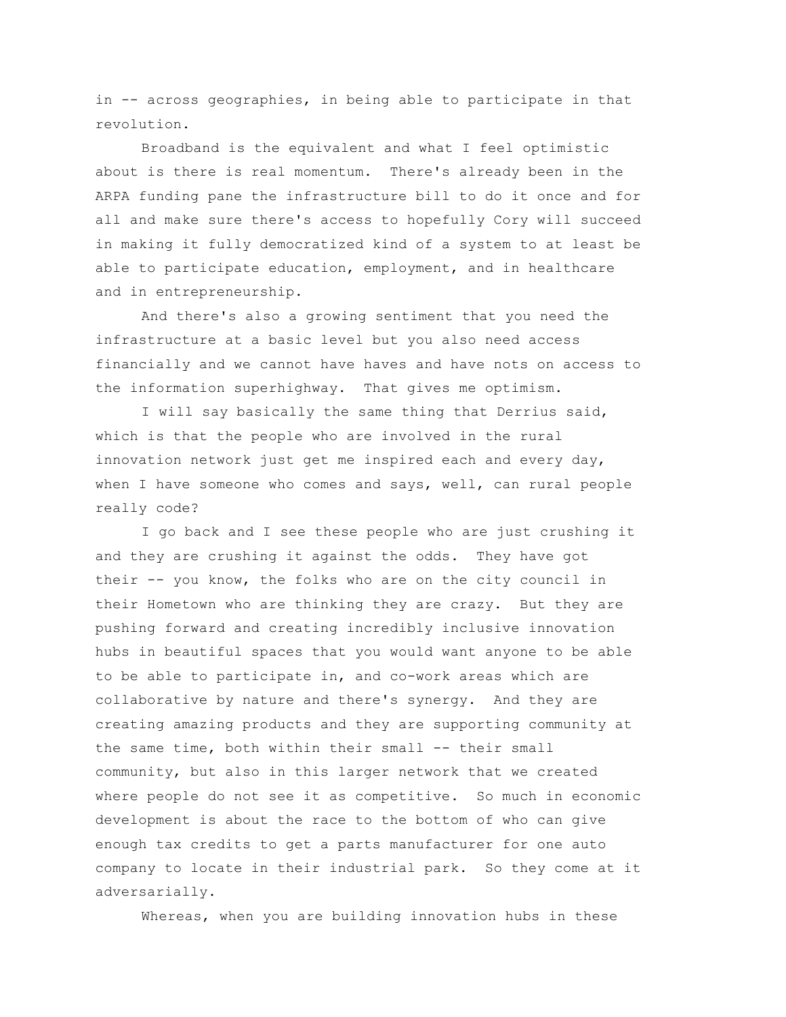in -- across geographies, in being able to participate in that revolution.

Broadband is the equivalent and what I feel optimistic about is there is real momentum. There's already been in the ARPA funding pane the infrastructure bill to do it once and for all and make sure there's access to hopefully Cory will succeed in making it fully democratized kind of a system to at least be able to participate education, employment, and in healthcare and in entrepreneurship.

And there's also a growing sentiment that you need the infrastructure at a basic level but you also need access financially and we cannot have haves and have nots on access to the information superhighway. That gives me optimism.

I will say basically the same thing that Derrius said, which is that the people who are involved in the rural innovation network just get me inspired each and every day, when I have someone who comes and says, well, can rural people really code?

I go back and I see these people who are just crushing it and they are crushing it against the odds. They have got their -- you know, the folks who are on the city council in their Hometown who are thinking they are crazy. But they are pushing forward and creating incredibly inclusive innovation hubs in beautiful spaces that you would want anyone to be able to be able to participate in, and co-work areas which are collaborative by nature and there's synergy. And they are creating amazing products and they are supporting community at the same time, both within their small -- their small community, but also in this larger network that we created where people do not see it as competitive. So much in economic development is about the race to the bottom of who can give enough tax credits to get a parts manufacturer for one auto company to locate in their industrial park. So they come at it adversarially.

Whereas, when you are building innovation hubs in these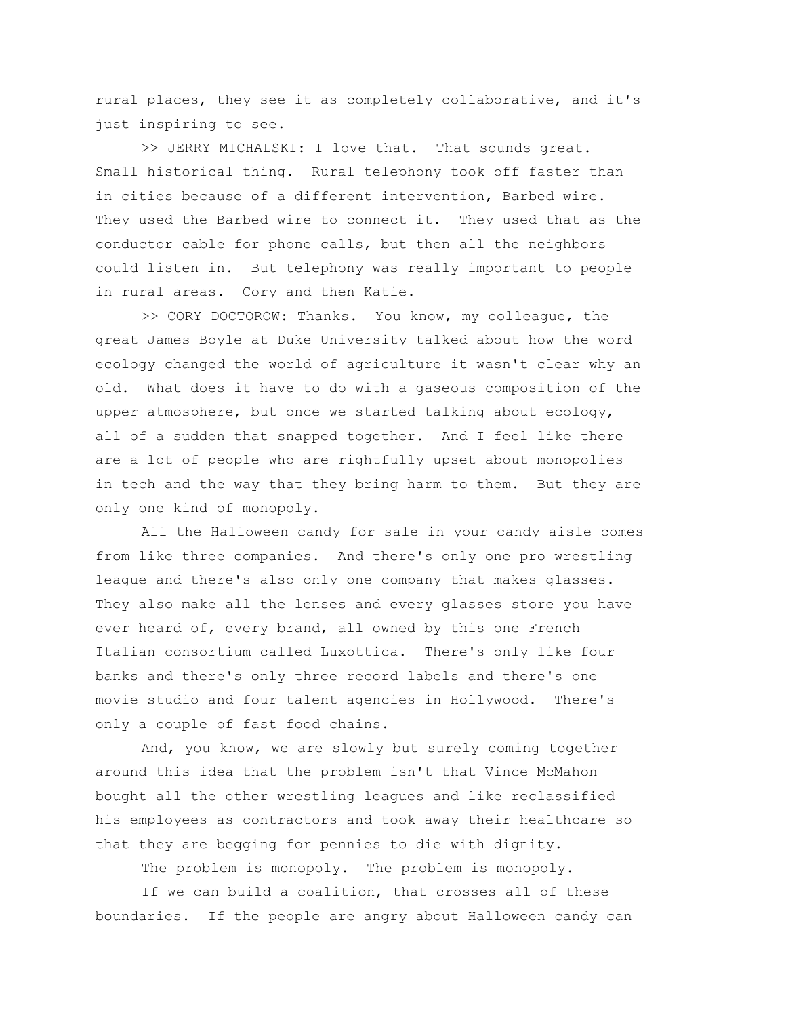rural places, they see it as completely collaborative, and it's just inspiring to see.

>> JERRY MICHALSKI: I love that. That sounds great. Small historical thing. Rural telephony took off faster than in cities because of a different intervention, Barbed wire. They used the Barbed wire to connect it. They used that as the conductor cable for phone calls, but then all the neighbors could listen in. But telephony was really important to people in rural areas. Cory and then Katie.

>> CORY DOCTOROW: Thanks. You know, my colleague, the great James Boyle at Duke University talked about how the word ecology changed the world of agriculture it wasn't clear why an old. What does it have to do with a gaseous composition of the upper atmosphere, but once we started talking about ecology, all of a sudden that snapped together. And I feel like there are a lot of people who are rightfully upset about monopolies in tech and the way that they bring harm to them. But they are only one kind of monopoly.

All the Halloween candy for sale in your candy aisle comes from like three companies. And there's only one pro wrestling league and there's also only one company that makes glasses. They also make all the lenses and every glasses store you have ever heard of, every brand, all owned by this one French Italian consortium called Luxottica. There's only like four banks and there's only three record labels and there's one movie studio and four talent agencies in Hollywood. There's only a couple of fast food chains.

And, you know, we are slowly but surely coming together around this idea that the problem isn't that Vince McMahon bought all the other wrestling leagues and like reclassified his employees as contractors and took away their healthcare so that they are begging for pennies to die with dignity.

The problem is monopoly. The problem is monopoly.

If we can build a coalition, that crosses all of these boundaries. If the people are angry about Halloween candy can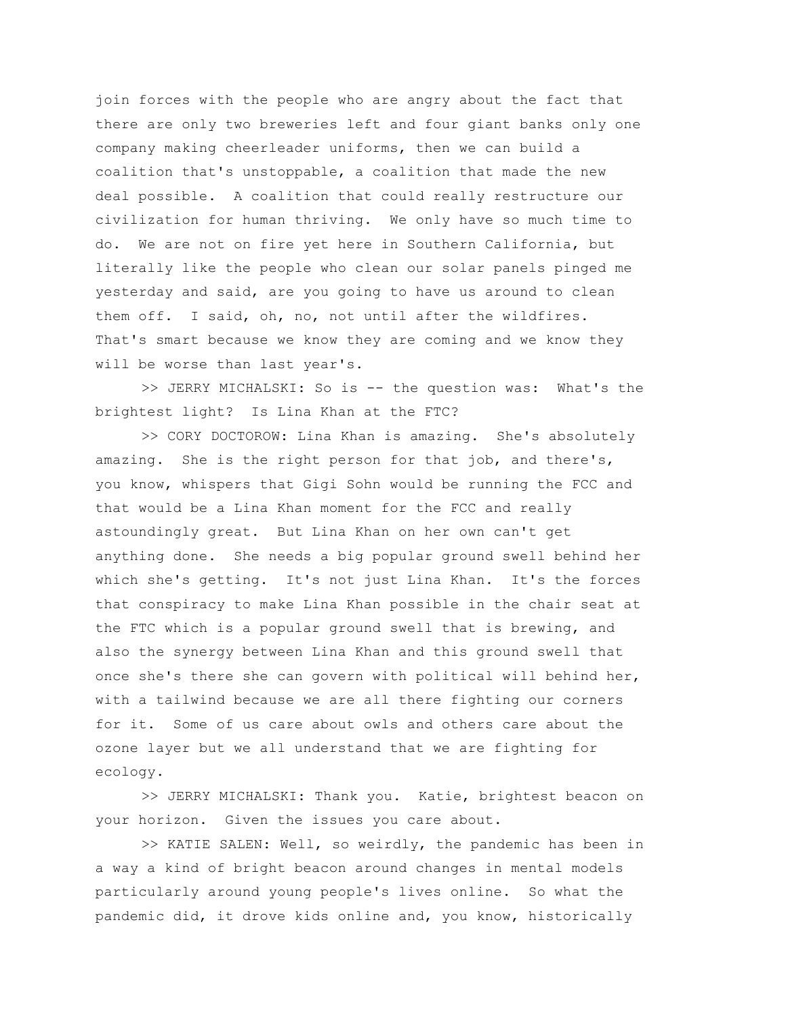join forces with the people who are angry about the fact that there are only two breweries left and four giant banks only one company making cheerleader uniforms, then we can build a coalition that's unstoppable, a coalition that made the new deal possible. A coalition that could really restructure our civilization for human thriving. We only have so much time to do. We are not on fire yet here in Southern California, but literally like the people who clean our solar panels pinged me yesterday and said, are you going to have us around to clean them off. I said, oh, no, not until after the wildfires. That's smart because we know they are coming and we know they will be worse than last year's.

>> JERRY MICHALSKI: So is -- the question was: What's the brightest light? Is Lina Khan at the FTC?

>> CORY DOCTOROW: Lina Khan is amazing. She's absolutely amazing. She is the right person for that job, and there's, you know, whispers that Gigi Sohn would be running the FCC and that would be a Lina Khan moment for the FCC and really astoundingly great. But Lina Khan on her own can't get anything done. She needs a big popular ground swell behind her which she's getting. It's not just Lina Khan. It's the forces that conspiracy to make Lina Khan possible in the chair seat at the FTC which is a popular ground swell that is brewing, and also the synergy between Lina Khan and this ground swell that once she's there she can govern with political will behind her, with a tailwind because we are all there fighting our corners for it. Some of us care about owls and others care about the ozone layer but we all understand that we are fighting for ecology.

>> JERRY MICHALSKI: Thank you. Katie, brightest beacon on your horizon. Given the issues you care about.

>> KATIE SALEN: Well, so weirdly, the pandemic has been in a way a kind of bright beacon around changes in mental models particularly around young people's lives online. So what the pandemic did, it drove kids online and, you know, historically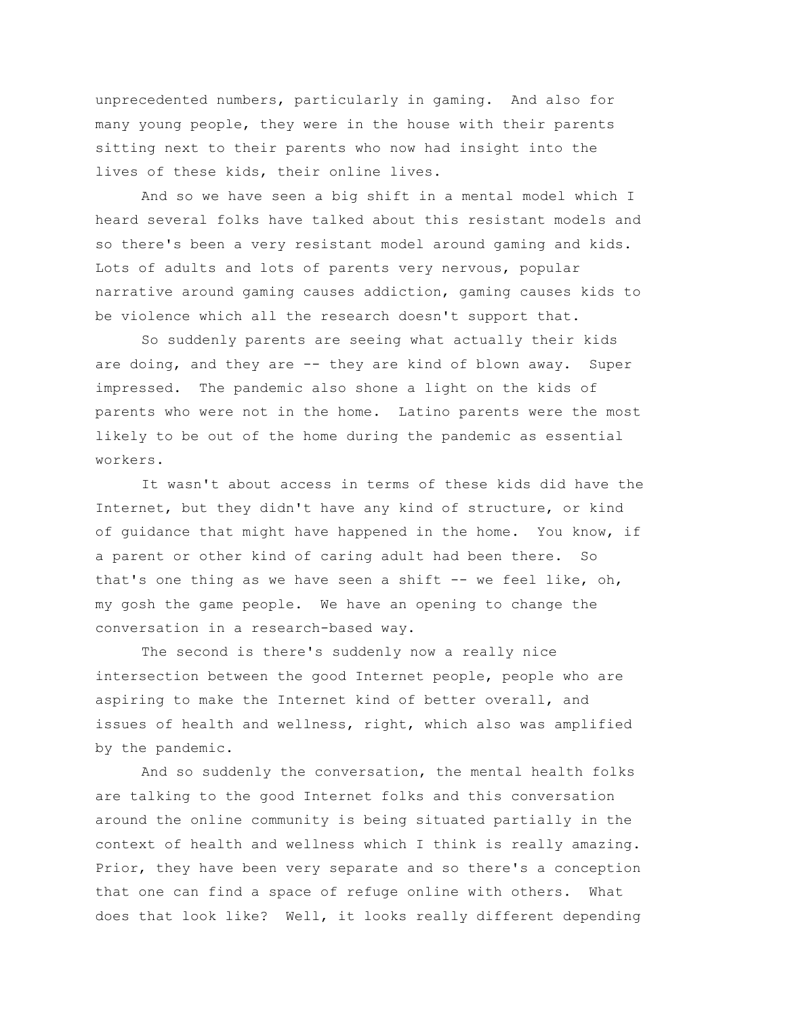unprecedented numbers, particularly in gaming. And also for many young people, they were in the house with their parents sitting next to their parents who now had insight into the lives of these kids, their online lives.

And so we have seen a big shift in a mental model which I heard several folks have talked about this resistant models and so there's been a very resistant model around gaming and kids. Lots of adults and lots of parents very nervous, popular narrative around gaming causes addiction, gaming causes kids to be violence which all the research doesn't support that.

So suddenly parents are seeing what actually their kids are doing, and they are -- they are kind of blown away. Super impressed. The pandemic also shone a light on the kids of parents who were not in the home. Latino parents were the most likely to be out of the home during the pandemic as essential workers.

It wasn't about access in terms of these kids did have the Internet, but they didn't have any kind of structure, or kind of guidance that might have happened in the home. You know, if a parent or other kind of caring adult had been there. So that's one thing as we have seen a shift  $-$ - we feel like, oh, my gosh the game people. We have an opening to change the conversation in a research-based way.

The second is there's suddenly now a really nice intersection between the good Internet people, people who are aspiring to make the Internet kind of better overall, and issues of health and wellness, right, which also was amplified by the pandemic.

And so suddenly the conversation, the mental health folks are talking to the good Internet folks and this conversation around the online community is being situated partially in the context of health and wellness which I think is really amazing. Prior, they have been very separate and so there's a conception that one can find a space of refuge online with others. What does that look like? Well, it looks really different depending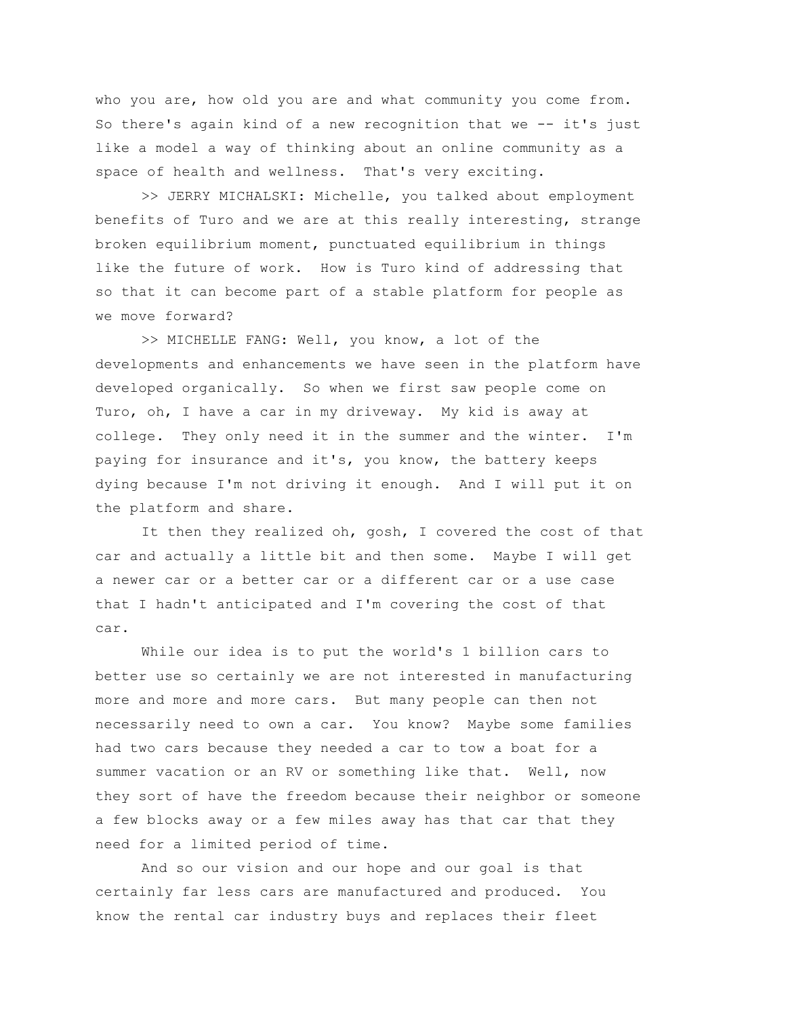who you are, how old you are and what community you come from. So there's again kind of a new recognition that we -- it's just like a model a way of thinking about an online community as a space of health and wellness. That's very exciting.

>> JERRY MICHALSKI: Michelle, you talked about employment benefits of Turo and we are at this really interesting, strange broken equilibrium moment, punctuated equilibrium in things like the future of work. How is Turo kind of addressing that so that it can become part of a stable platform for people as we move forward?

>> MICHELLE FANG: Well, you know, a lot of the developments and enhancements we have seen in the platform have developed organically. So when we first saw people come on Turo, oh, I have a car in my driveway. My kid is away at college. They only need it in the summer and the winter. I'm paying for insurance and it's, you know, the battery keeps dying because I'm not driving it enough. And I will put it on the platform and share.

It then they realized oh, gosh, I covered the cost of that car and actually a little bit and then some. Maybe I will get a newer car or a better car or a different car or a use case that I hadn't anticipated and I'm covering the cost of that car.

While our idea is to put the world's 1 billion cars to better use so certainly we are not interested in manufacturing more and more and more cars. But many people can then not necessarily need to own a car. You know? Maybe some families had two cars because they needed a car to tow a boat for a summer vacation or an RV or something like that. Well, now they sort of have the freedom because their neighbor or someone a few blocks away or a few miles away has that car that they need for a limited period of time.

And so our vision and our hope and our goal is that certainly far less cars are manufactured and produced. You know the rental car industry buys and replaces their fleet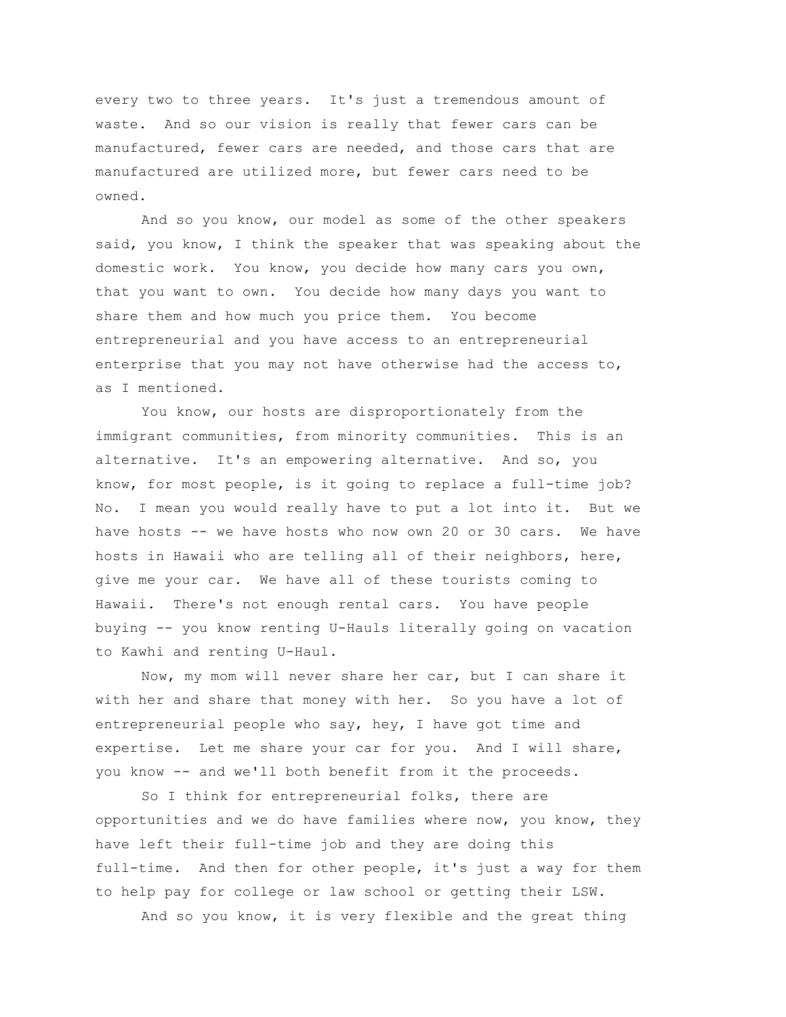every two to three years. It's just a tremendous amount of waste. And so our vision is really that fewer cars can be manufactured, fewer cars are needed, and those cars that are manufactured are utilized more, but fewer cars need to be owned.

And so you know, our model as some of the other speakers said, you know, I think the speaker that was speaking about the domestic work. You know, you decide how many cars you own, that you want to own. You decide how many days you want to share them and how much you price them. You become entrepreneurial and you have access to an entrepreneurial enterprise that you may not have otherwise had the access to, as I mentioned.

You know, our hosts are disproportionately from the immigrant communities, from minority communities. This is an alternative. It's an empowering alternative. And so, you know, for most people, is it going to replace a full-time job? No. I mean you would really have to put a lot into it. But we have hosts -- we have hosts who now own 20 or 30 cars. We have hosts in Hawaii who are telling all of their neighbors, here, give me your car. We have all of these tourists coming to Hawaii. There's not enough rental cars. You have people buying -- you know renting U-Hauls literally going on vacation to Kawhi and renting U-Haul.

Now, my mom will never share her car, but I can share it with her and share that money with her. So you have a lot of entrepreneurial people who say, hey, I have got time and expertise. Let me share your car for you. And I will share, you know -- and we'll both benefit from it the proceeds.

So I think for entrepreneurial folks, there are opportunities and we do have families where now, you know, they have left their full-time job and they are doing this full-time. And then for other people, it's just a way for them to help pay for college or law school or getting their LSW.

And so you know, it is very flexible and the great thing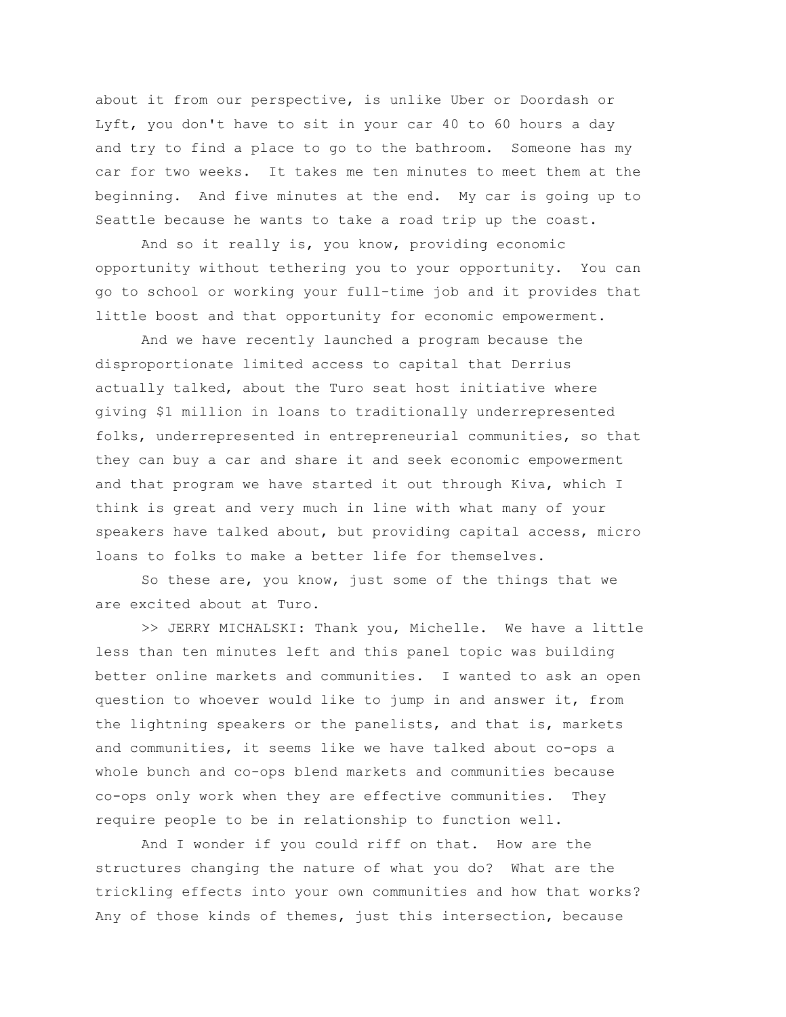about it from our perspective, is unlike Uber or Doordash or Lyft, you don't have to sit in your car 40 to 60 hours a day and try to find a place to go to the bathroom. Someone has my car for two weeks. It takes me ten minutes to meet them at the beginning. And five minutes at the end. My car is going up to Seattle because he wants to take a road trip up the coast.

And so it really is, you know, providing economic opportunity without tethering you to your opportunity. You can go to school or working your full-time job and it provides that little boost and that opportunity for economic empowerment.

And we have recently launched a program because the disproportionate limited access to capital that Derrius actually talked, about the Turo seat host initiative where giving \$1 million in loans to traditionally underrepresented folks, underrepresented in entrepreneurial communities, so that they can buy a car and share it and seek economic empowerment and that program we have started it out through Kiva, which I think is great and very much in line with what many of your speakers have talked about, but providing capital access, micro loans to folks to make a better life for themselves.

So these are, you know, just some of the things that we are excited about at Turo.

>> JERRY MICHALSKI: Thank you, Michelle. We have a little less than ten minutes left and this panel topic was building better online markets and communities. I wanted to ask an open question to whoever would like to jump in and answer it, from the lightning speakers or the panelists, and that is, markets and communities, it seems like we have talked about co-ops a whole bunch and co-ops blend markets and communities because co-ops only work when they are effective communities. They require people to be in relationship to function well.

And I wonder if you could riff on that. How are the structures changing the nature of what you do? What are the trickling effects into your own communities and how that works? Any of those kinds of themes, just this intersection, because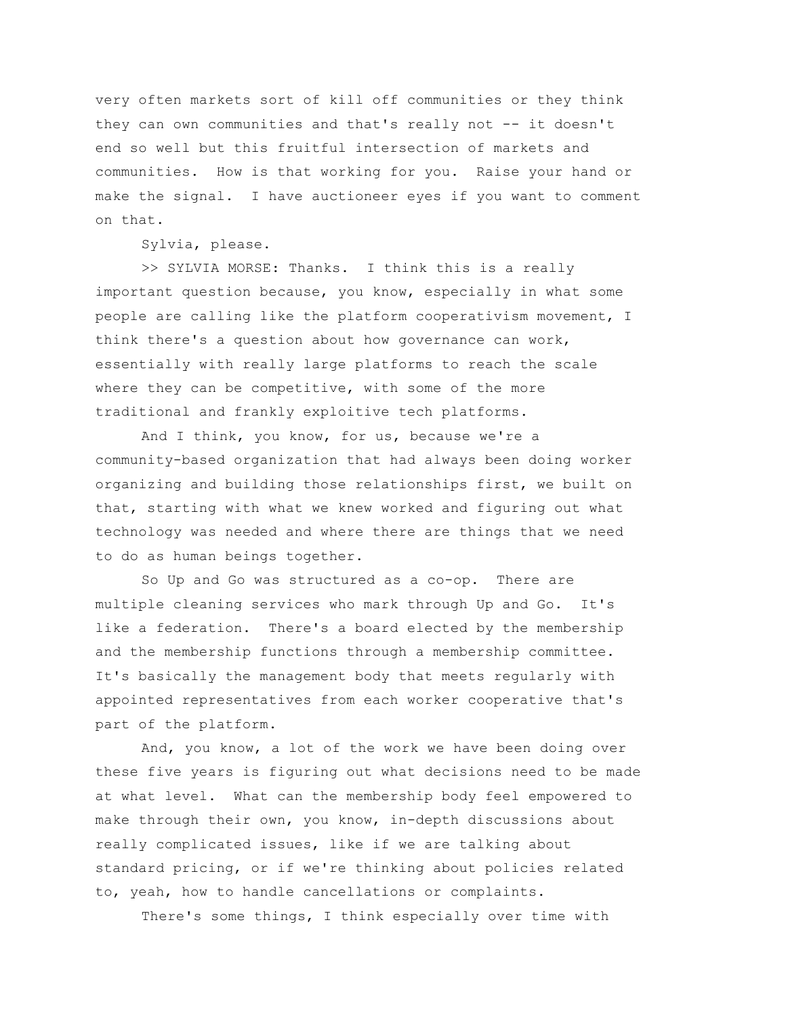very often markets sort of kill off communities or they think they can own communities and that's really not -- it doesn't end so well but this fruitful intersection of markets and communities. How is that working for you. Raise your hand or make the signal. I have auctioneer eyes if you want to comment on that.

Sylvia, please.

>> SYLVIA MORSE: Thanks. I think this is a really important question because, you know, especially in what some people are calling like the platform cooperativism movement, I think there's a question about how governance can work, essentially with really large platforms to reach the scale where they can be competitive, with some of the more traditional and frankly exploitive tech platforms.

And I think, you know, for us, because we're a community-based organization that had always been doing worker organizing and building those relationships first, we built on that, starting with what we knew worked and figuring out what technology was needed and where there are things that we need to do as human beings together.

So Up and Go was structured as a co-op. There are multiple cleaning services who mark through Up and Go. It's like a federation. There's a board elected by the membership and the membership functions through a membership committee. It's basically the management body that meets regularly with appointed representatives from each worker cooperative that's part of the platform.

And, you know, a lot of the work we have been doing over these five years is figuring out what decisions need to be made at what level. What can the membership body feel empowered to make through their own, you know, in-depth discussions about really complicated issues, like if we are talking about standard pricing, or if we're thinking about policies related to, yeah, how to handle cancellations or complaints.

There's some things, I think especially over time with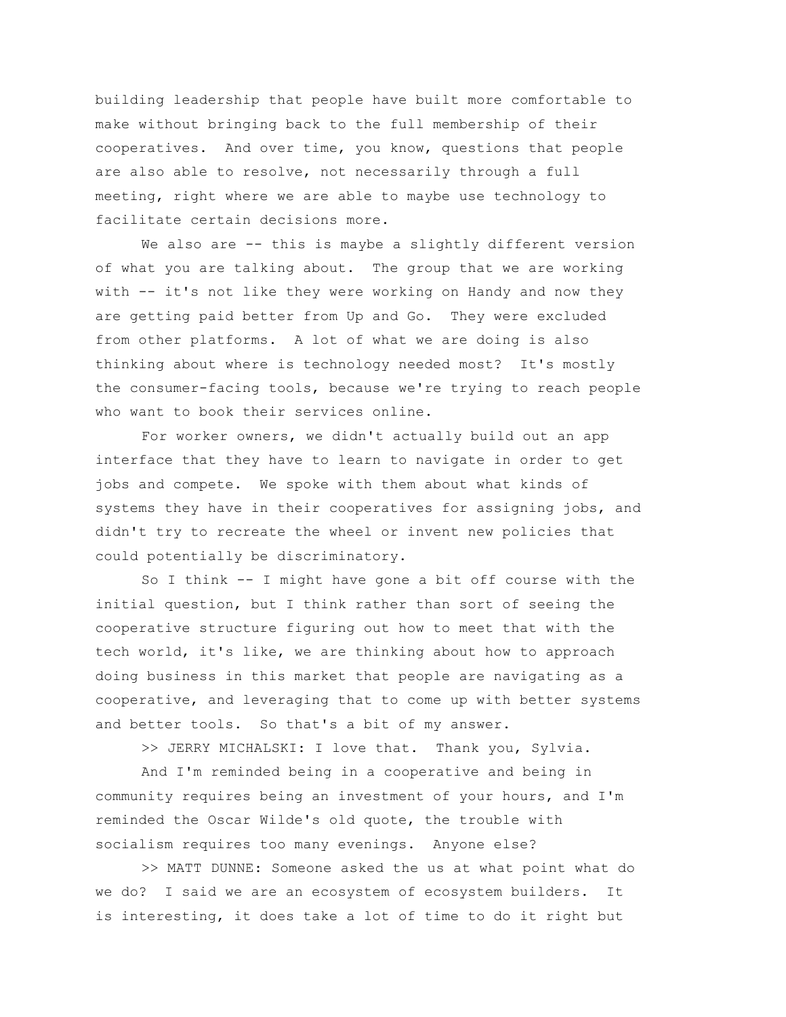building leadership that people have built more comfortable to make without bringing back to the full membership of their cooperatives. And over time, you know, questions that people are also able to resolve, not necessarily through a full meeting, right where we are able to maybe use technology to facilitate certain decisions more.

We also are -- this is maybe a slightly different version of what you are talking about. The group that we are working with -- it's not like they were working on Handy and now they are getting paid better from Up and Go. They were excluded from other platforms. A lot of what we are doing is also thinking about where is technology needed most? It's mostly the consumer-facing tools, because we're trying to reach people who want to book their services online.

For worker owners, we didn't actually build out an app interface that they have to learn to navigate in order to get jobs and compete. We spoke with them about what kinds of systems they have in their cooperatives for assigning jobs, and didn't try to recreate the wheel or invent new policies that could potentially be discriminatory.

So I think -- I might have gone a bit off course with the initial question, but I think rather than sort of seeing the cooperative structure figuring out how to meet that with the tech world, it's like, we are thinking about how to approach doing business in this market that people are navigating as a cooperative, and leveraging that to come up with better systems and better tools. So that's a bit of my answer.

>> JERRY MICHALSKI: I love that. Thank you, Sylvia.

And I'm reminded being in a cooperative and being in community requires being an investment of your hours, and I'm reminded the Oscar Wilde's old quote, the trouble with socialism requires too many evenings. Anyone else?

>> MATT DUNNE: Someone asked the us at what point what do we do? I said we are an ecosystem of ecosystem builders. It is interesting, it does take a lot of time to do it right but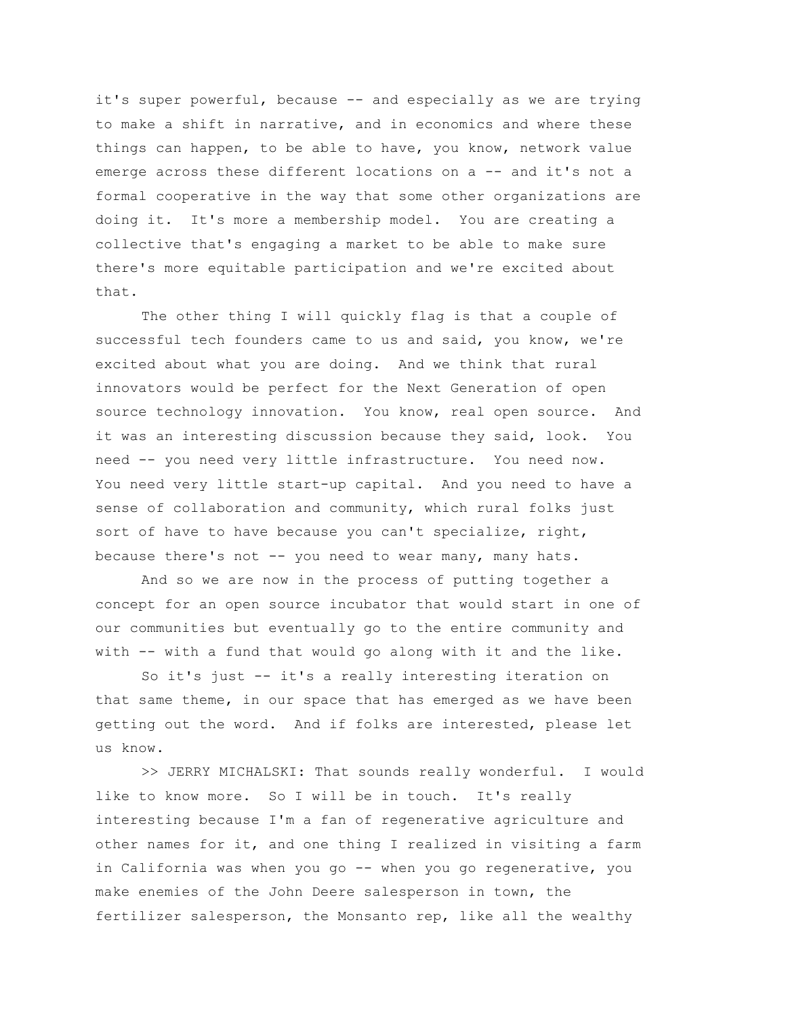it's super powerful, because -- and especially as we are trying to make a shift in narrative, and in economics and where these things can happen, to be able to have, you know, network value emerge across these different locations on a -- and it's not a formal cooperative in the way that some other organizations are doing it. It's more a membership model. You are creating a collective that's engaging a market to be able to make sure there's more equitable participation and we're excited about that.

The other thing I will quickly flag is that a couple of successful tech founders came to us and said, you know, we're excited about what you are doing. And we think that rural innovators would be perfect for the Next Generation of open source technology innovation. You know, real open source. And it was an interesting discussion because they said, look. You need -- you need very little infrastructure. You need now. You need very little start-up capital. And you need to have a sense of collaboration and community, which rural folks just sort of have to have because you can't specialize, right, because there's not -- you need to wear many, many hats.

And so we are now in the process of putting together a concept for an open source incubator that would start in one of our communities but eventually go to the entire community and with -- with a fund that would go along with it and the like.

So it's just -- it's a really interesting iteration on that same theme, in our space that has emerged as we have been getting out the word. And if folks are interested, please let us know.

>> JERRY MICHALSKI: That sounds really wonderful. I would like to know more. So I will be in touch. It's really interesting because I'm a fan of regenerative agriculture and other names for it, and one thing I realized in visiting a farm in California was when you go -- when you go regenerative, you make enemies of the John Deere salesperson in town, the fertilizer salesperson, the Monsanto rep, like all the wealthy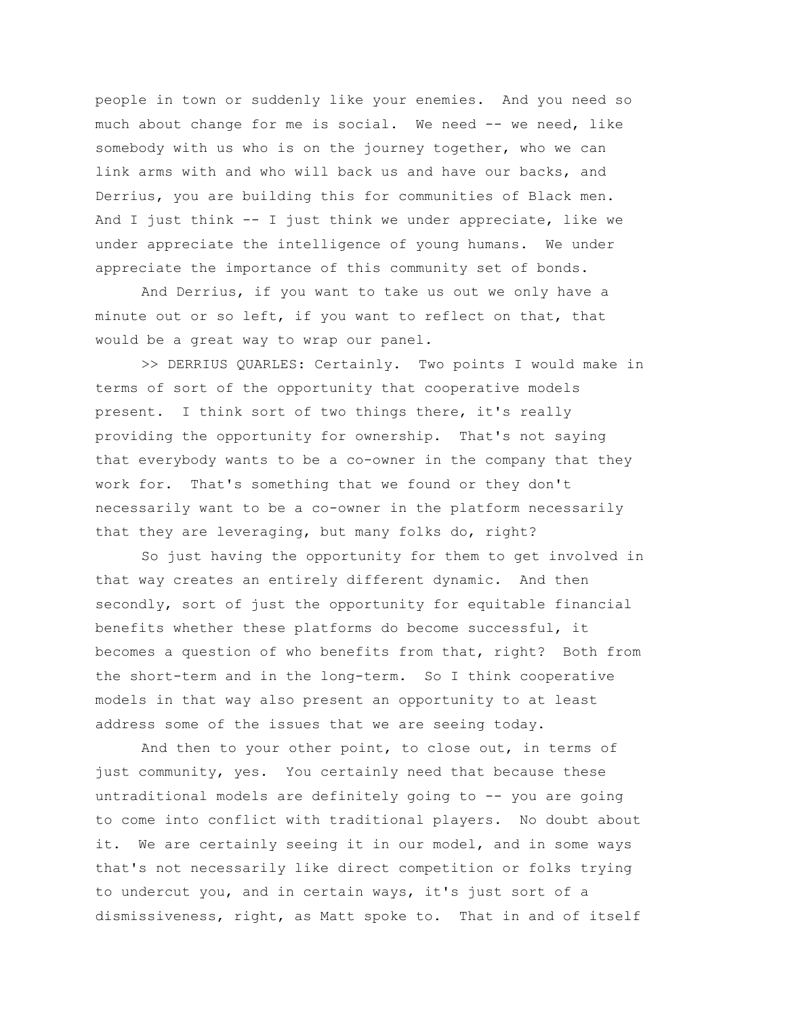people in town or suddenly like your enemies. And you need so much about change for me is social. We need -- we need, like somebody with us who is on the journey together, who we can link arms with and who will back us and have our backs, and Derrius, you are building this for communities of Black men. And I just think -- I just think we under appreciate, like we under appreciate the intelligence of young humans. We under appreciate the importance of this community set of bonds.

And Derrius, if you want to take us out we only have a minute out or so left, if you want to reflect on that, that would be a great way to wrap our panel.

>> DERRIUS QUARLES: Certainly. Two points I would make in terms of sort of the opportunity that cooperative models present. I think sort of two things there, it's really providing the opportunity for ownership. That's not saying that everybody wants to be a co-owner in the company that they work for. That's something that we found or they don't necessarily want to be a co-owner in the platform necessarily that they are leveraging, but many folks do, right?

So just having the opportunity for them to get involved in that way creates an entirely different dynamic. And then secondly, sort of just the opportunity for equitable financial benefits whether these platforms do become successful, it becomes a question of who benefits from that, right? Both from the short-term and in the long-term. So I think cooperative models in that way also present an opportunity to at least address some of the issues that we are seeing today.

And then to your other point, to close out, in terms of just community, yes. You certainly need that because these untraditional models are definitely going to -- you are going to come into conflict with traditional players. No doubt about it. We are certainly seeing it in our model, and in some ways that's not necessarily like direct competition or folks trying to undercut you, and in certain ways, it's just sort of a dismissiveness, right, as Matt spoke to. That in and of itself